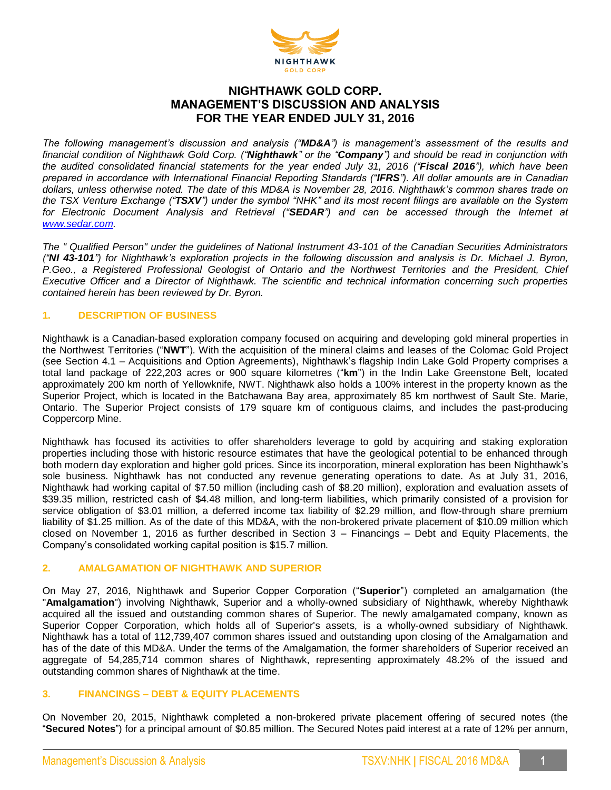

# **NIGHTHAWK GOLD CORP. MANAGEMENT'S DISCUSSION AND ANALYSIS FOR THE YEAR ENDED JULY 31, 2016**

*The following management's discussion and analysis ("MD&A") is management's assessment of the results and financial condition of Nighthawk Gold Corp. ("Nighthawk" or the "Company") and should be read in conjunction with the audited consolidated financial statements for the year ended July 31, 2016 ("Fiscal 2016"), which have been prepared in accordance with International Financial Reporting Standards ("IFRS"). All dollar amounts are in Canadian dollars, unless otherwise noted. The date of this MD&A is November 28, 2016. Nighthawk's common shares trade on the TSX Venture Exchange ("TSXV") under the symbol "NHK" and its most recent filings are available on the System for Electronic Document Analysis and Retrieval ("SEDAR") and can be accessed through the Internet at [www.sedar.com.](http://www.sedar.com/)*

*The " Qualified Person" under the guidelines of National Instrument 43-101 of the Canadian Securities Administrators ("NI 43-101") for Nighthawk's exploration projects in the following discussion and analysis is Dr. Michael J. Byron, P.Geo., a Registered Professional Geologist of Ontario and the Northwest Territories and the President, Chief Executive Officer and a Director of Nighthawk. The scientific and technical information concerning such properties contained herein has been reviewed by Dr. Byron.*

# **1. DESCRIPTION OF BUSINESS**

Nighthawk is a Canadian-based exploration company focused on acquiring and developing gold mineral properties in the Northwest Territories ("**NWT**"). With the acquisition of the mineral claims and leases of the Colomac Gold Project (see Section 4.1 – Acquisitions and Option Agreements), Nighthawk's flagship Indin Lake Gold Property comprises a total land package of 222,203 acres or 900 square kilometres ("**km**") in the Indin Lake Greenstone Belt, located approximately 200 km north of Yellowknife, NWT. Nighthawk also holds a 100% interest in the property known as the Superior Project, which is located in the Batchawana Bay area, approximately 85 km northwest of Sault Ste. Marie, Ontario. The Superior Project consists of 179 square km of contiguous claims, and includes the past-producing Coppercorp Mine.

Nighthawk has focused its activities to offer shareholders leverage to gold by acquiring and staking exploration properties including those with historic resource estimates that have the geological potential to be enhanced through both modern day exploration and higher gold prices. Since its incorporation, mineral exploration has been Nighthawk's sole business. Nighthawk has not conducted any revenue generating operations to date. As at July 31, 2016, Nighthawk had working capital of \$7.50 million (including cash of \$8.20 million), exploration and evaluation assets of \$39.35 million, restricted cash of \$4.48 million, and long-term liabilities, which primarily consisted of a provision for service obligation of \$3.01 million, a deferred income tax liability of \$2.29 million, and flow-through share premium liability of \$1.25 million. As of the date of this MD&A, with the non-brokered private placement of \$10.09 million which closed on November 1, 2016 as further described in Section 3 – Financings – Debt and Equity Placements, the Company's consolidated working capital position is \$15.7 million.

# **2. AMALGAMATION OF NIGHTHAWK AND SUPERIOR**

On May 27, 2016, Nighthawk and Superior Copper Corporation ("**Superior**") completed an amalgamation (the "**Amalgamation**") involving Nighthawk, Superior and a wholly-owned subsidiary of Nighthawk, whereby Nighthawk acquired all the issued and outstanding common shares of Superior. The newly amalgamated company, known as Superior Copper Corporation, which holds all of Superior's assets, is a wholly-owned subsidiary of Nighthawk. Nighthawk has a total of 112,739,407 common shares issued and outstanding upon closing of the Amalgamation and has of the date of this MD&A. Under the terms of the Amalgamation, the former shareholders of Superior received an aggregate of 54,285,714 common shares of Nighthawk, representing approximately 48.2% of the issued and outstanding common shares of Nighthawk at the time.

### **3. FINANCINGS – DEBT & EQUITY PLACEMENTS**

On November 20, 2015, Nighthawk completed a non-brokered private placement offering of secured notes (the "**Secured Notes**") for a principal amount of \$0.85 million. The Secured Notes paid interest at a rate of 12% per annum,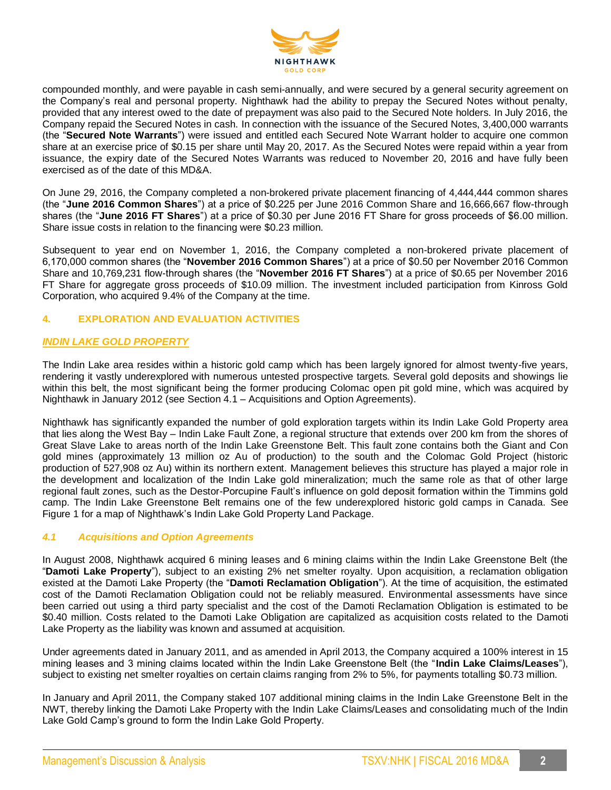

compounded monthly, and were payable in cash semi-annually, and were secured by a general security agreement on the Company's real and personal property. Nighthawk had the ability to prepay the Secured Notes without penalty, provided that any interest owed to the date of prepayment was also paid to the Secured Note holders. In July 2016, the Company repaid the Secured Notes in cash. In connection with the issuance of the Secured Notes, 3,400,000 warrants (the "**Secured Note Warrants**") were issued and entitled each Secured Note Warrant holder to acquire one common share at an exercise price of \$0.15 per share until May 20, 2017. As the Secured Notes were repaid within a year from issuance, the expiry date of the Secured Notes Warrants was reduced to November 20, 2016 and have fully been exercised as of the date of this MD&A.

On June 29, 2016, the Company completed a non-brokered private placement financing of 4,444,444 common shares (the "**June 2016 Common Shares**") at a price of \$0.225 per June 2016 Common Share and 16,666,667 flow-through shares (the "**June 2016 FT Shares**") at a price of \$0.30 per June 2016 FT Share for gross proceeds of \$6.00 million. Share issue costs in relation to the financing were \$0.23 million.

Subsequent to year end on November 1, 2016, the Company completed a non-brokered private placement of 6,170,000 common shares (the "**November 2016 Common Shares**") at a price of \$0.50 per November 2016 Common Share and 10,769,231 flow-through shares (the "**November 2016 FT Shares**") at a price of \$0.65 per November 2016 FT Share for aggregate gross proceeds of \$10.09 million. The investment included participation from Kinross Gold Corporation, who acquired 9.4% of the Company at the time.

# **4. EXPLORATION AND EVALUATION ACTIVITIES**

# *INDIN LAKE GOLD PROPERTY*

The Indin Lake area resides within a historic gold camp which has been largely ignored for almost twenty-five years, rendering it vastly underexplored with numerous untested prospective targets. Several gold deposits and showings lie within this belt, the most significant being the former producing Colomac open pit gold mine, which was acquired by Nighthawk in January 2012 (see Section 4.1 – Acquisitions and Option Agreements).

Nighthawk has significantly expanded the number of gold exploration targets within its Indin Lake Gold Property area that lies along the West Bay – Indin Lake Fault Zone, a regional structure that extends over 200 km from the shores of Great Slave Lake to areas north of the Indin Lake Greenstone Belt. This fault zone contains both the Giant and Con gold mines (approximately 13 million oz Au of production) to the south and the Colomac Gold Project (historic production of 527,908 oz Au) within its northern extent. Management believes this structure has played a major role in the development and localization of the Indin Lake gold mineralization; much the same role as that of other large regional fault zones, such as the Destor-Porcupine Fault's influence on gold deposit formation within the Timmins gold camp. The Indin Lake Greenstone Belt remains one of the few underexplored historic gold camps in Canada. See Figure 1 for a map of Nighthawk's Indin Lake Gold Property Land Package.

# *4.1 Acquisitions and Option Agreements*

In August 2008, Nighthawk acquired 6 mining leases and 6 mining claims within the Indin Lake Greenstone Belt (the "**Damoti Lake Property**"), subject to an existing 2% net smelter royalty. Upon acquisition, a reclamation obligation existed at the Damoti Lake Property (the "**Damoti Reclamation Obligation**"). At the time of acquisition, the estimated cost of the Damoti Reclamation Obligation could not be reliably measured. Environmental assessments have since been carried out using a third party specialist and the cost of the Damoti Reclamation Obligation is estimated to be \$0.40 million. Costs related to the Damoti Lake Obligation are capitalized as acquisition costs related to the Damoti Lake Property as the liability was known and assumed at acquisition.

Under agreements dated in January 2011, and as amended in April 2013, the Company acquired a 100% interest in 15 mining leases and 3 mining claims located within the Indin Lake Greenstone Belt (the "**Indin Lake Claims/Leases**"), subject to existing net smelter royalties on certain claims ranging from 2% to 5%, for payments totalling \$0.73 million.

In January and April 2011, the Company staked 107 additional mining claims in the Indin Lake Greenstone Belt in the NWT, thereby linking the Damoti Lake Property with the Indin Lake Claims/Leases and consolidating much of the Indin Lake Gold Camp's ground to form the Indin Lake Gold Property.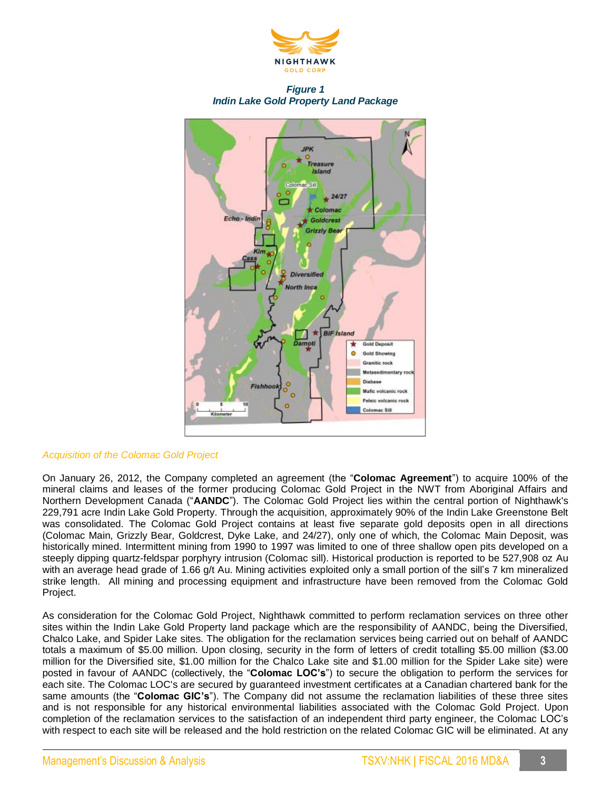

*Figure 1 Indin Lake Gold Property Land Package*



### *Acquisition of the Colomac Gold Project*

On January 26, 2012, the Company completed an agreement (the "**Colomac Agreement**") to acquire 100% of the mineral claims and leases of the former producing Colomac Gold Project in the NWT from Aboriginal Affairs and Northern Development Canada ("**AANDC**"). The Colomac Gold Project lies within the central portion of Nighthawk's 229,791 acre Indin Lake Gold Property. Through the acquisition, approximately 90% of the Indin Lake Greenstone Belt was consolidated. The Colomac Gold Project contains at least five separate gold deposits open in all directions (Colomac Main, Grizzly Bear, Goldcrest, Dyke Lake, and 24/27), only one of which, the Colomac Main Deposit, was historically mined. Intermittent mining from 1990 to 1997 was limited to one of three shallow open pits developed on a steeply dipping quartz-feldspar porphyry intrusion (Colomac sill). Historical production is reported to be 527,908 oz Au with an average head grade of 1.66 g/t Au. Mining activities exploited only a small portion of the sill's 7 km mineralized strike length. All mining and processing equipment and infrastructure have been removed from the Colomac Gold Project.

As consideration for the Colomac Gold Project, Nighthawk committed to perform reclamation services on three other sites within the Indin Lake Gold Property land package which are the responsibility of AANDC, being the Diversified, Chalco Lake, and Spider Lake sites. The obligation for the reclamation services being carried out on behalf of AANDC totals a maximum of \$5.00 million. Upon closing, security in the form of letters of credit totalling \$5.00 million (\$3.00 million for the Diversified site, \$1.00 million for the Chalco Lake site and \$1.00 million for the Spider Lake site) were posted in favour of AANDC (collectively, the "**Colomac LOC's**") to secure the obligation to perform the services for each site. The Colomac LOC's are secured by guaranteed investment certificates at a Canadian chartered bank for the same amounts (the "**Colomac GIC's**"). The Company did not assume the reclamation liabilities of these three sites and is not responsible for any historical environmental liabilities associated with the Colomac Gold Project. Upon completion of the reclamation services to the satisfaction of an independent third party engineer, the Colomac LOC's with respect to each site will be released and the hold restriction on the related Colomac GIC will be eliminated. At any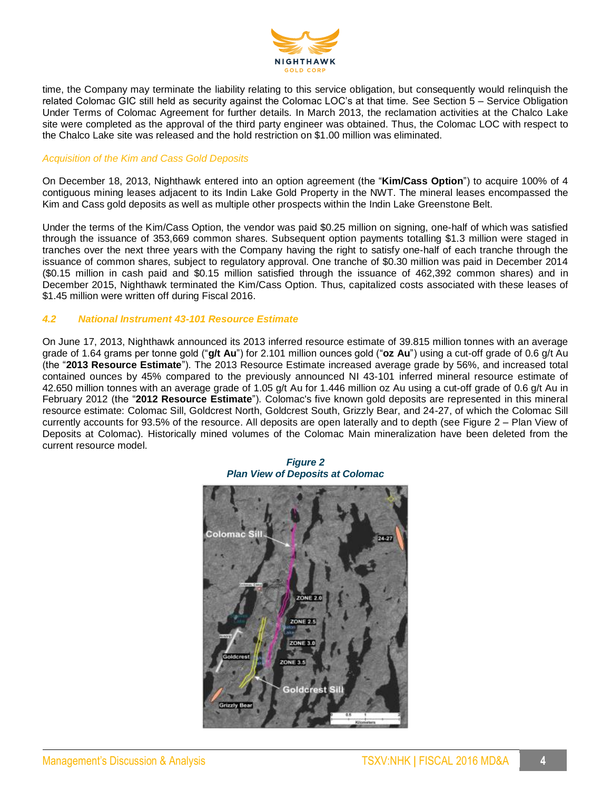

time, the Company may terminate the liability relating to this service obligation, but consequently would relinquish the related Colomac GIC still held as security against the Colomac LOC's at that time. See Section 5 – Service Obligation Under Terms of Colomac Agreement for further details. In March 2013, the reclamation activities at the Chalco Lake site were completed as the approval of the third party engineer was obtained. Thus, the Colomac LOC with respect to the Chalco Lake site was released and the hold restriction on \$1.00 million was eliminated.

#### *Acquisition of the Kim and Cass Gold Deposits*

On December 18, 2013, Nighthawk entered into an option agreement (the "**Kim/Cass Option**") to acquire 100% of 4 contiguous mining leases adjacent to its Indin Lake Gold Property in the NWT. The mineral leases encompassed the Kim and Cass gold deposits as well as multiple other prospects within the Indin Lake Greenstone Belt.

Under the terms of the Kim/Cass Option, the vendor was paid \$0.25 million on signing, one-half of which was satisfied through the issuance of 353,669 common shares. Subsequent option payments totalling \$1.3 million were staged in tranches over the next three years with the Company having the right to satisfy one-half of each tranche through the issuance of common shares, subject to regulatory approval. One tranche of \$0.30 million was paid in December 2014 (\$0.15 million in cash paid and \$0.15 million satisfied through the issuance of 462,392 common shares) and in December 2015, Nighthawk terminated the Kim/Cass Option. Thus, capitalized costs associated with these leases of \$1.45 million were written off during Fiscal 2016.

### *4.2 National Instrument 43-101 Resource Estimate*

On June 17, 2013, Nighthawk announced its 2013 inferred resource estimate of 39.815 million tonnes with an average grade of 1.64 grams per tonne gold ("**g/t Au**") for 2.101 million ounces gold ("**oz Au**") using a cut-off grade of 0.6 g/t Au (the "**2013 Resource Estimate**"). The 2013 Resource Estimate increased average grade by 56%, and increased total contained ounces by 45% compared to the previously announced NI 43-101 inferred mineral resource estimate of 42.650 million tonnes with an average grade of 1.05 g/t Au for 1.446 million oz Au using a cut-off grade of 0.6 g/t Au in February 2012 (the "**2012 Resource Estimate**"). Colomac's five known gold deposits are represented in this mineral resource estimate: Colomac Sill, Goldcrest North, Goldcrest South, Grizzly Bear, and 24-27, of which the Colomac Sill currently accounts for 93.5% of the resource. All deposits are open laterally and to depth (see Figure 2 – Plan View of Deposits at Colomac). Historically mined volumes of the Colomac Main mineralization have been deleted from the current resource model.



*Figure 2 Plan View of Deposits at Colomac*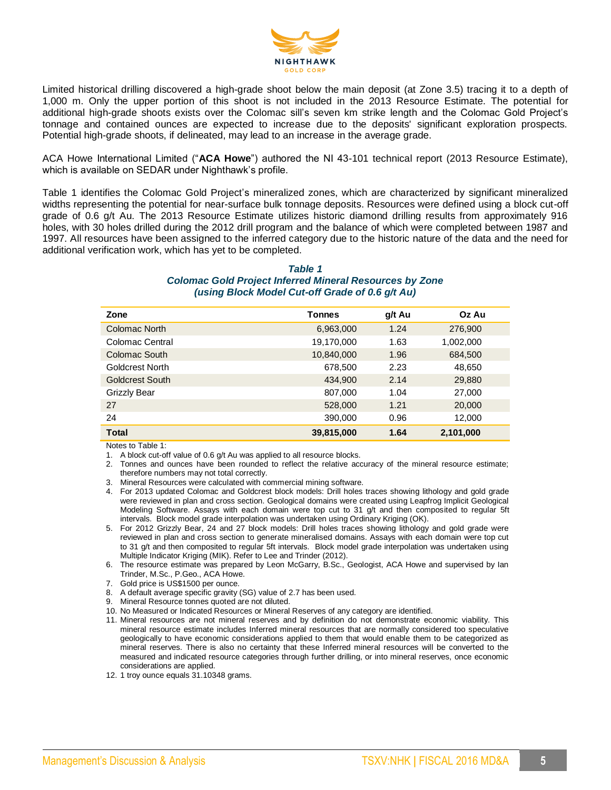

Limited historical drilling discovered a high-grade shoot below the main deposit (at Zone 3.5) tracing it to a depth of 1,000 m. Only the upper portion of this shoot is not included in the 2013 Resource Estimate. The potential for additional high-grade shoots exists over the Colomac sill's seven km strike length and the Colomac Gold Project's tonnage and contained ounces are expected to increase due to the deposits' significant exploration prospects. Potential high-grade shoots, if delineated, may lead to an increase in the average grade.

ACA Howe International Limited ("**ACA Howe**") authored the NI 43-101 technical report (2013 Resource Estimate), which is available on SEDAR under Nighthawk's profile.

Table 1 identifies the Colomac Gold Project's mineralized zones, which are characterized by significant mineralized widths representing the potential for near-surface bulk tonnage deposits. Resources were defined using a block cut-off grade of 0.6 g/t Au. The 2013 Resource Estimate utilizes historic diamond drilling results from approximately 916 holes, with 30 holes drilled during the 2012 drill program and the balance of which were completed between 1987 and 1997. All resources have been assigned to the inferred category due to the historic nature of the data and the need for additional verification work, which has yet to be completed.

#### *Table 1 Colomac Gold Project Inferred Mineral Resources by Zone (using Block Model Cut-off Grade of 0.6 g/t Au)*

| Zone            | <b>Tonnes</b> | g/t Au | Oz Au     |
|-----------------|---------------|--------|-----------|
| Colomac North   | 6,963,000     | 1.24   | 276,900   |
| Colomac Central | 19,170,000    | 1.63   | 1,002,000 |
| Colomac South   | 10,840,000    | 1.96   | 684,500   |
| Goldcrest North | 678,500       | 2.23   | 48,650    |
| Goldcrest South | 434,900       | 2.14   | 29,880    |
| Grizzly Bear    | 807,000       | 1.04   | 27,000    |
| 27              | 528,000       | 1.21   | 20,000    |
| 24              | 390,000       | 0.96   | 12,000    |
| <b>Total</b>    | 39,815,000    | 1.64   | 2,101,000 |

Notes to Table 1:

- 1. A block cut-off value of 0.6 g/t Au was applied to all resource blocks.
- 2. Tonnes and ounces have been rounded to reflect the relative accuracy of the mineral resource estimate; therefore numbers may not total correctly.
- 3. Mineral Resources were calculated with commercial mining software.
- 4. For 2013 updated Colomac and Goldcrest block models: Drill holes traces showing lithology and gold grade were reviewed in plan and cross section. Geological domains were created using Leapfrog Implicit Geological Modeling Software. Assays with each domain were top cut to 31 g/t and then composited to regular 5ft intervals. Block model grade interpolation was undertaken using Ordinary Kriging (OK).
- 5. For 2012 Grizzly Bear, 24 and 27 block models: Drill holes traces showing lithology and gold grade were reviewed in plan and cross section to generate mineralised domains. Assays with each domain were top cut to 31 g/t and then composited to regular 5ft intervals. Block model grade interpolation was undertaken using Multiple Indicator Kriging (MIK). Refer to Lee and Trinder (2012).
- 6. The resource estimate was prepared by Leon McGarry, B.Sc., Geologist, ACA Howe and supervised by Ian Trinder, M.Sc., P.Geo., ACA Howe.
- 7. Gold price is US\$1500 per ounce.
- 8. A default average specific gravity (SG) value of 2.7 has been used.
- 9. Mineral Resource tonnes quoted are not diluted.
- 10. No Measured or Indicated Resources or Mineral Reserves of any category are identified.
- 11. Mineral resources are not mineral reserves and by definition do not demonstrate economic viability. This mineral resource estimate includes Inferred mineral resources that are normally considered too speculative geologically to have economic considerations applied to them that would enable them to be categorized as mineral reserves. There is also no certainty that these Inferred mineral resources will be converted to the measured and indicated resource categories through further drilling, or into mineral reserves, once economic considerations are applied.
- 12. 1 troy ounce equals 31.10348 grams.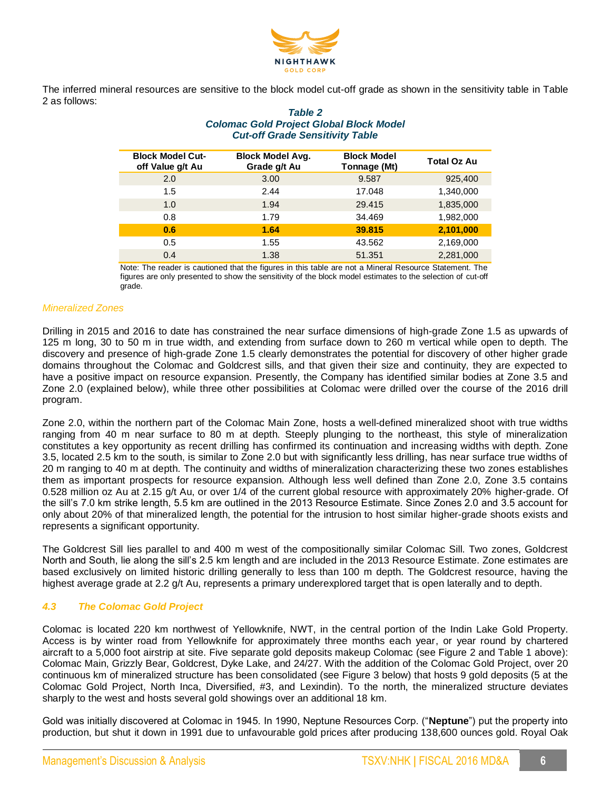

The inferred mineral resources are sensitive to the block model cut-off grade as shown in the sensitivity table in Table 2 as follows:

| <b>UUL-UIT UTUUC UCHSRIVILY TUDIC</b>       |                                         |                                    |                    |  |  |
|---------------------------------------------|-----------------------------------------|------------------------------------|--------------------|--|--|
| <b>Block Model Cut-</b><br>off Value g/t Au | <b>Block Model Avg.</b><br>Grade g/t Au | <b>Block Model</b><br>Tonnage (Mt) | <b>Total Oz Au</b> |  |  |
| 2.0                                         | 3.00                                    | 9.587                              | 925,400            |  |  |
| 1.5                                         | 2.44                                    | 17.048                             | 1,340,000          |  |  |
| 1.0                                         | 1.94                                    | 29.415                             | 1,835,000          |  |  |
| 0.8                                         | 1.79                                    | 34.469                             | 1,982,000          |  |  |
| 0.6                                         | 1.64                                    | 39.815                             | 2,101,000          |  |  |
| 0.5                                         | 1.55                                    | 43.562                             | 2,169,000          |  |  |
| 0.4                                         | 1.38                                    | 51.351                             | 2,281,000          |  |  |

### *Table 2 Colomac Gold Project Global Block Model Cut-off Grade Sensitivity Table*

Note: The reader is cautioned that the figures in this table are not a Mineral Resource Statement. The figures are only presented to show the sensitivity of the block model estimates to the selection of cut-off grade.

### *Mineralized Zones*

Drilling in 2015 and 2016 to date has constrained the near surface dimensions of high-grade Zone 1.5 as upwards of 125 m long, 30 to 50 m in true width, and extending from surface down to 260 m vertical while open to depth. The discovery and presence of high-grade Zone 1.5 clearly demonstrates the potential for discovery of other higher grade domains throughout the Colomac and Goldcrest sills, and that given their size and continuity, they are expected to have a positive impact on resource expansion. Presently, the Company has identified similar bodies at Zone 3.5 and Zone 2.0 (explained below), while three other possibilities at Colomac were drilled over the course of the 2016 drill program.

Zone 2.0, within the northern part of the Colomac Main Zone, hosts a well-defined mineralized shoot with true widths ranging from 40 m near surface to 80 m at depth. Steeply plunging to the northeast, this style of mineralization constitutes a key opportunity as recent drilling has confirmed its continuation and increasing widths with depth. Zone 3.5, located 2.5 km to the south, is similar to Zone 2.0 but with significantly less drilling, has near surface true widths of 20 m ranging to 40 m at depth. The continuity and widths of mineralization characterizing these two zones establishes them as important prospects for resource expansion. Although less well defined than Zone 2.0, Zone 3.5 contains 0.528 million oz Au at 2.15 g/t Au, or over 1/4 of the current global resource with approximately 20% higher-grade. Of the sill's 7.0 km strike length, 5.5 km are outlined in the 2013 Resource Estimate. Since Zones 2.0 and 3.5 account for only about 20% of that mineralized length, the potential for the intrusion to host similar higher-grade shoots exists and represents a significant opportunity.

The Goldcrest Sill lies parallel to and 400 m west of the compositionally similar Colomac Sill. Two zones, Goldcrest North and South, lie along the sill's 2.5 km length and are included in the 2013 Resource Estimate. Zone estimates are based exclusively on limited historic drilling generally to less than 100 m depth. The Goldcrest resource, having the highest average grade at 2.2 g/t Au, represents a primary underexplored target that is open laterally and to depth.

# *4.3 The Colomac Gold Project*

Colomac is located 220 km northwest of Yellowknife, NWT, in the central portion of the Indin Lake Gold Property. Access is by winter road from Yellowknife for approximately three months each year, or year round by chartered aircraft to a 5,000 foot airstrip at site. Five separate gold deposits makeup Colomac (see Figure 2 and Table 1 above): Colomac Main, Grizzly Bear, Goldcrest, Dyke Lake, and 24/27. With the addition of the Colomac Gold Project, over 20 continuous km of mineralized structure has been consolidated (see Figure 3 below) that hosts 9 gold deposits (5 at the Colomac Gold Project, North Inca, Diversified, #3, and Lexindin). To the north, the mineralized structure deviates sharply to the west and hosts several gold showings over an additional 18 km.

Gold was initially discovered at Colomac in 1945. In 1990, Neptune Resources Corp. ("**Neptune**") put the property into production, but shut it down in 1991 due to unfavourable gold prices after producing 138,600 ounces gold. Royal Oak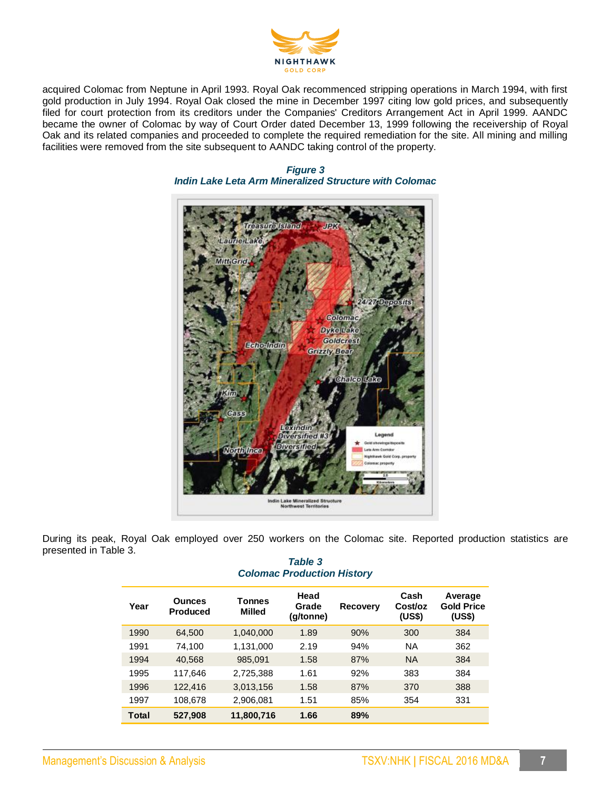

acquired Colomac from Neptune in April 1993. Royal Oak recommenced stripping operations in March 1994, with first gold production in July 1994. Royal Oak closed the mine in December 1997 citing low gold prices, and subsequently filed for court protection from its creditors under the Companies' Creditors Arrangement Act in April 1999. AANDC became the owner of Colomac by way of Court Order dated December 13, 1999 following the receivership of Royal Oak and its related companies and proceeded to complete the required remediation for the site. All mining and milling facilities were removed from the site subsequent to AANDC taking control of the property.



*Figure 3 Indin Lake Leta Arm Mineralized Structure with Colomac*

During its peak, Royal Oak employed over 250 workers on the Colomac site. Reported production statistics are presented in Table 3.

| <b>Colomac Production History</b> |                                  |                         |                            |                 |                           |                                        |  |
|-----------------------------------|----------------------------------|-------------------------|----------------------------|-----------------|---------------------------|----------------------------------------|--|
| Year                              | <b>Ounces</b><br><b>Produced</b> | Tonnes<br><b>Milled</b> | Head<br>Grade<br>(g/tonne) | <b>Recovery</b> | Cash<br>Cost/oz<br>(US\$) | Average<br><b>Gold Price</b><br>(US\$) |  |
| 1990                              | 64.500                           | 1,040,000               | 1.89                       | 90%             | 300                       | 384                                    |  |
| 1991                              | 74.100                           | 1.131.000               | 2.19                       | 94%             | <b>NA</b>                 | 362                                    |  |
| 1994                              | 40,568                           | 985.091                 | 1.58                       | 87%             | <b>NA</b>                 | 384                                    |  |
| 1995                              | 117.646                          | 2,725,388               | 1.61                       | 92%             | 383                       | 384                                    |  |
| 1996                              | 122,416                          | 3,013,156               | 1.58                       | 87%             | 370                       | 388                                    |  |
| 1997                              | 108,678                          | 2,906,081               | 1.51                       | 85%             | 354                       | 331                                    |  |
| <b>Total</b>                      | 527.908                          | 11.800.716              | 1.66                       | 89%             |                           |                                        |  |

| Table 3                           |  |
|-----------------------------------|--|
| <b>Colomac Production History</b> |  |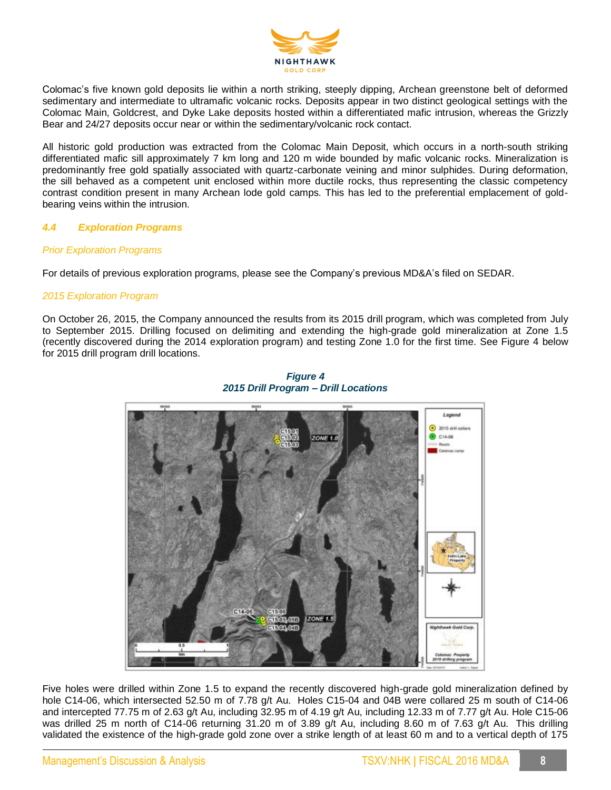

Colomac's five known gold deposits lie within a north striking, steeply dipping, Archean greenstone belt of deformed sedimentary and intermediate to ultramafic volcanic rocks. Deposits appear in two distinct geological settings with the Colomac Main, Goldcrest, and Dyke Lake deposits hosted within a differentiated mafic intrusion, whereas the Grizzly Bear and 24/27 deposits occur near or within the sedimentary/volcanic rock contact.

All historic gold production was extracted from the Colomac Main Deposit, which occurs in a north-south striking differentiated mafic sill approximately 7 km long and 120 m wide bounded by mafic volcanic rocks. Mineralization is predominantly free gold spatially associated with quartz-carbonate veining and minor sulphides. During deformation, the sill behaved as a competent unit enclosed within more ductile rocks, thus representing the classic competency contrast condition present in many Archean lode gold camps. This has led to the preferential emplacement of goldbearing veins within the intrusion.

### *4.4 Exploration Programs*

### *Prior Exploration Programs*

For details of previous exploration programs, please see the Company's previous MD&A's filed on SEDAR.

### *2015 Exploration Program*

On October 26, 2015, the Company announced the results from its 2015 drill program, which was completed from July to September 2015. Drilling focused on delimiting and extending the high-grade gold mineralization at Zone 1.5 (recently discovered during the 2014 exploration program) and testing Zone 1.0 for the first time. See Figure 4 below for 2015 drill program drill locations.



*Figure 4 2015 Drill Program – Drill Locations*

Five holes were drilled within Zone 1.5 to expand the recently discovered high-grade gold mineralization defined by hole C14-06, which intersected 52.50 m of 7.78 g/t Au. Holes C15-04 and 04B were collared 25 m south of C14-06 and intercepted 77.75 m of 2.63 g/t Au, including 32.95 m of 4.19 g/t Au, including 12.33 m of 7.77 g/t Au. Hole C15-06 was drilled 25 m north of C14-06 returning 31.20 m of 3.89 g/t Au, including 8.60 m of 7.63 g/t Au. This drilling validated the existence of the high-grade gold zone over a strike length of at least 60 m and to a vertical depth of 175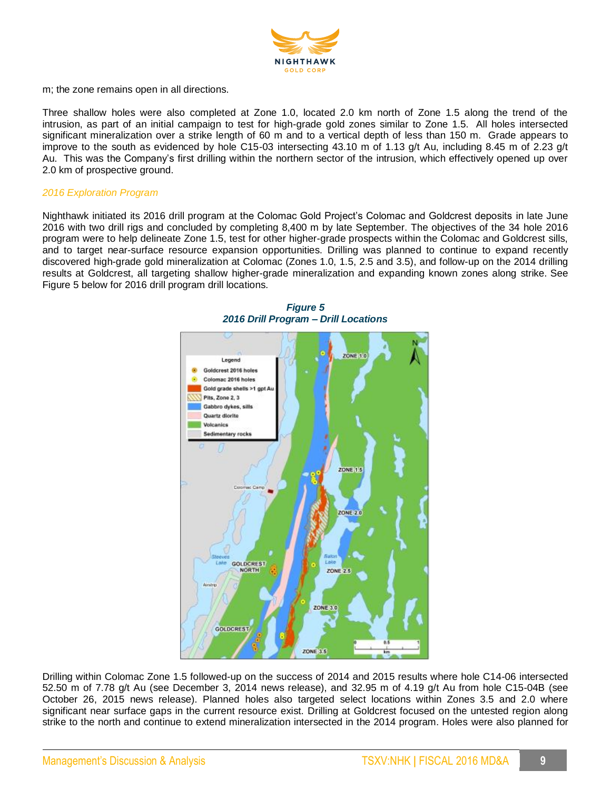

m; the zone remains open in all directions.

Three shallow holes were also completed at Zone 1.0, located 2.0 km north of Zone 1.5 along the trend of the intrusion, as part of an initial campaign to test for high-grade gold zones similar to Zone 1.5. All holes intersected significant mineralization over a strike length of 60 m and to a vertical depth of less than 150 m. Grade appears to improve to the south as evidenced by hole C15-03 intersecting 43.10 m of 1.13 g/t Au, including 8.45 m of 2.23 g/t Au. This was the Company's first drilling within the northern sector of the intrusion, which effectively opened up over 2.0 km of prospective ground.

### *2016 Exploration Program*

Nighthawk initiated its 2016 drill program at the Colomac Gold Project's Colomac and Goldcrest deposits in late June 2016 with two drill rigs and concluded by completing 8,400 m by late September. The objectives of the 34 hole 2016 program were to help delineate Zone 1.5, test for other higher-grade prospects within the Colomac and Goldcrest sills, and to target near-surface resource expansion opportunities. Drilling was planned to continue to expand recently discovered high-grade gold mineralization at Colomac (Zones 1.0, 1.5, 2.5 and 3.5), and follow-up on the 2014 drilling results at Goldcrest, all targeting shallow higher-grade mineralization and expanding known zones along strike. See Figure 5 below for 2016 drill program drill locations.



# *Figure 5 2016 Drill Program – Drill Locations*

Drilling within Colomac Zone 1.5 followed-up on the success of 2014 and 2015 results where hole C14-06 intersected 52.50 m of 7.78 g/t Au (see December 3, 2014 news release), and 32.95 m of 4.19 g/t Au from hole C15-04B (see October 26, 2015 news release). Planned holes also targeted select locations within Zones 3.5 and 2.0 where significant near surface gaps in the current resource exist. Drilling at Goldcrest focused on the untested region along strike to the north and continue to extend mineralization intersected in the 2014 program. Holes were also planned for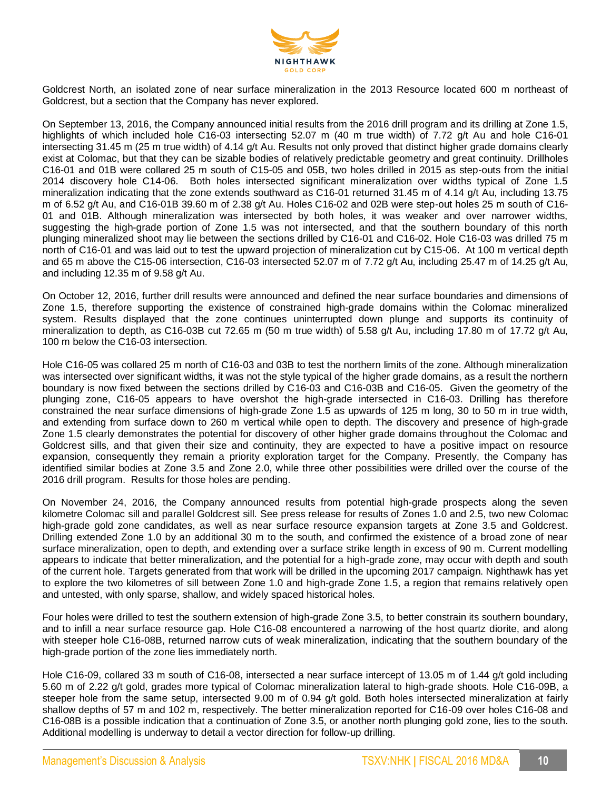

Goldcrest North, an isolated zone of near surface mineralization in the 2013 Resource located 600 m northeast of Goldcrest, but a section that the Company has never explored.

On September 13, 2016, the Company announced initial results from the 2016 drill program and its drilling at Zone 1.5, highlights of which included hole C16-03 intersecting 52.07 m (40 m true width) of 7.72 g/t Au and hole C16-01 intersecting 31.45 m (25 m true width) of 4.14 g/t Au. Results not only proved that distinct higher grade domains clearly exist at Colomac, but that they can be sizable bodies of relatively predictable geometry and great continuity. Drillholes C16-01 and 01B were collared 25 m south of C15-05 and 05B, two holes drilled in 2015 as step-outs from the initial 2014 discovery hole C14-06. Both holes intersected significant mineralization over widths typical of Zone 1.5 mineralization indicating that the zone extends southward as C16-01 returned 31.45 m of 4.14 g/t Au, including 13.75 m of 6.52 g/t Au, and C16-01B 39.60 m of 2.38 g/t Au. Holes C16-02 and 02B were step-out holes 25 m south of C16- 01 and 01B. Although mineralization was intersected by both holes, it was weaker and over narrower widths, suggesting the high-grade portion of Zone 1.5 was not intersected, and that the southern boundary of this north plunging mineralized shoot may lie between the sections drilled by C16-01 and C16-02. Hole C16-03 was drilled 75 m north of C16-01 and was laid out to test the upward projection of mineralization cut by C15-06. At 100 m vertical depth and 65 m above the C15-06 intersection, C16-03 intersected 52.07 m of 7.72 g/t Au, including 25.47 m of 14.25 g/t Au, and including 12.35 m of 9.58 g/t Au.

On October 12, 2016, further drill results were announced and defined the near surface boundaries and dimensions of Zone 1.5, therefore supporting the existence of constrained high-grade domains within the Colomac mineralized system. Results displayed that the zone continues uninterrupted down plunge and supports its continuity of mineralization to depth, as C16-03B cut 72.65 m (50 m true width) of 5.58 g/t Au, including 17.80 m of 17.72 g/t Au, 100 m below the C16-03 intersection.

Hole C16-05 was collared 25 m north of C16-03 and 03B to test the northern limits of the zone. Although mineralization was intersected over significant widths, it was not the style typical of the higher grade domains, as a result the northern boundary is now fixed between the sections drilled by C16-03 and C16-03B and C16-05. Given the geometry of the plunging zone, C16-05 appears to have overshot the high-grade intersected in C16-03. Drilling has therefore constrained the near surface dimensions of high-grade Zone 1.5 as upwards of 125 m long, 30 to 50 m in true width, and extending from surface down to 260 m vertical while open to depth. The discovery and presence of high-grade Zone 1.5 clearly demonstrates the potential for discovery of other higher grade domains throughout the Colomac and Goldcrest sills, and that given their size and continuity, they are expected to have a positive impact on resource expansion, consequently they remain a priority exploration target for the Company. Presently, the Company has identified similar bodies at Zone 3.5 and Zone 2.0, while three other possibilities were drilled over the course of the 2016 drill program. Results for those holes are pending.

On November 24, 2016, the Company announced results from potential high-grade prospects along the seven kilometre Colomac sill and parallel Goldcrest sill. See press release for results of Zones 1.0 and 2.5, two new Colomac high-grade gold zone candidates, as well as near surface resource expansion targets at Zone 3.5 and Goldcrest. Drilling extended Zone 1.0 by an additional 30 m to the south, and confirmed the existence of a broad zone of near surface mineralization, open to depth, and extending over a surface strike length in excess of 90 m. Current modelling appears to indicate that better mineralization, and the potential for a high-grade zone, may occur with depth and south of the current hole. Targets generated from that work will be drilled in the upcoming 2017 campaign. Nighthawk has yet to explore the two kilometres of sill between Zone 1.0 and high-grade Zone 1.5, a region that remains relatively open and untested, with only sparse, shallow, and widely spaced historical holes.

Four holes were drilled to test the southern extension of high-grade Zone 3.5, to better constrain its southern boundary, and to infill a near surface resource gap. Hole C16-08 encountered a narrowing of the host quartz diorite, and along with steeper hole C16-08B, returned narrow cuts of weak mineralization, indicating that the southern boundary of the high-grade portion of the zone lies immediately north.

Hole C16-09, collared 33 m south of C16-08, intersected a near surface intercept of 13.05 m of 1.44 g/t gold including 5.60 m of 2.22 g/t gold, grades more typical of Colomac mineralization lateral to high-grade shoots. Hole C16-09B, a steeper hole from the same setup, intersected 9.00 m of 0.94 g/t gold. Both holes intersected mineralization at fairly shallow depths of 57 m and 102 m, respectively. The better mineralization reported for C16-09 over holes C16-08 and C16-08B is a possible indication that a continuation of Zone 3.5, or another north plunging gold zone, lies to the south. Additional modelling is underway to detail a vector direction for follow-up drilling.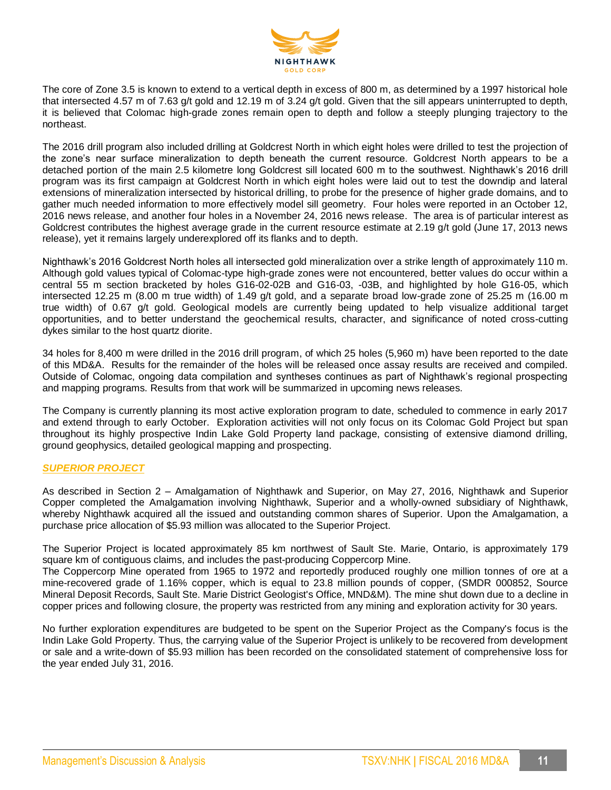

The core of Zone 3.5 is known to extend to a vertical depth in excess of 800 m, as determined by a 1997 historical hole that intersected 4.57 m of 7.63 g/t gold and 12.19 m of 3.24 g/t gold. Given that the sill appears uninterrupted to depth, it is believed that Colomac high-grade zones remain open to depth and follow a steeply plunging trajectory to the northeast.

The 2016 drill program also included drilling at Goldcrest North in which eight holes were drilled to test the projection of the zone's near surface mineralization to depth beneath the current resource. Goldcrest North appears to be a detached portion of the main 2.5 kilometre long Goldcrest sill located 600 m to the southwest. Nighthawk's 2016 drill program was its first campaign at Goldcrest North in which eight holes were laid out to test the downdip and lateral extensions of mineralization intersected by historical drilling, to probe for the presence of higher grade domains, and to gather much needed information to more effectively model sill geometry. Four holes were reported in an October 12, 2016 news release, and another four holes in a November 24, 2016 news release. The area is of particular interest as Goldcrest contributes the highest average grade in the current resource estimate at 2.19 g/t gold (June 17, 2013 news release), yet it remains largely underexplored off its flanks and to depth.

Nighthawk's 2016 Goldcrest North holes all intersected gold mineralization over a strike length of approximately 110 m. Although gold values typical of Colomac-type high-grade zones were not encountered, better values do occur within a central 55 m section bracketed by holes G16-02-02B and G16-03, -03B, and highlighted by hole G16-05, which intersected 12.25 m (8.00 m true width) of 1.49 g/t gold, and a separate broad low-grade zone of 25.25 m (16.00 m true width) of 0.67 g/t gold. Geological models are currently being updated to help visualize additional target opportunities, and to better understand the geochemical results, character, and significance of noted cross-cutting dykes similar to the host quartz diorite.

34 holes for 8,400 m were drilled in the 2016 drill program, of which 25 holes (5,960 m) have been reported to the date of this MD&A. Results for the remainder of the holes will be released once assay results are received and compiled. Outside of Colomac, ongoing data compilation and syntheses continues as part of Nighthawk's regional prospecting and mapping programs. Results from that work will be summarized in upcoming news releases.

The Company is currently planning its most active exploration program to date, scheduled to commence in early 2017 and extend through to early October. Exploration activities will not only focus on its Colomac Gold Project but span throughout its highly prospective Indin Lake Gold Property land package, consisting of extensive diamond drilling, ground geophysics, detailed geological mapping and prospecting.

# *SUPERIOR PROJECT*

As described in Section 2 – Amalgamation of Nighthawk and Superior, on May 27, 2016, Nighthawk and Superior Copper completed the Amalgamation involving Nighthawk, Superior and a wholly-owned subsidiary of Nighthawk, whereby Nighthawk acquired all the issued and outstanding common shares of Superior. Upon the Amalgamation, a purchase price allocation of \$5.93 million was allocated to the Superior Project.

The Superior Project is located approximately 85 km northwest of Sault Ste. Marie, Ontario, is approximately 179 square km of contiguous claims, and includes the past-producing Coppercorp Mine.

The Coppercorp Mine operated from 1965 to 1972 and reportedly produced roughly one million tonnes of ore at a mine-recovered grade of 1.16% copper, which is equal to 23.8 million pounds of copper, (SMDR 000852, Source Mineral Deposit Records, Sault Ste. Marie District Geologist's Office, MND&M). The mine shut down due to a decline in copper prices and following closure, the property was restricted from any mining and exploration activity for 30 years.

No further exploration expenditures are budgeted to be spent on the Superior Project as the Company's focus is the Indin Lake Gold Property. Thus, the carrying value of the Superior Project is unlikely to be recovered from development or sale and a write-down of \$5.93 million has been recorded on the consolidated statement of comprehensive loss for the year ended July 31, 2016.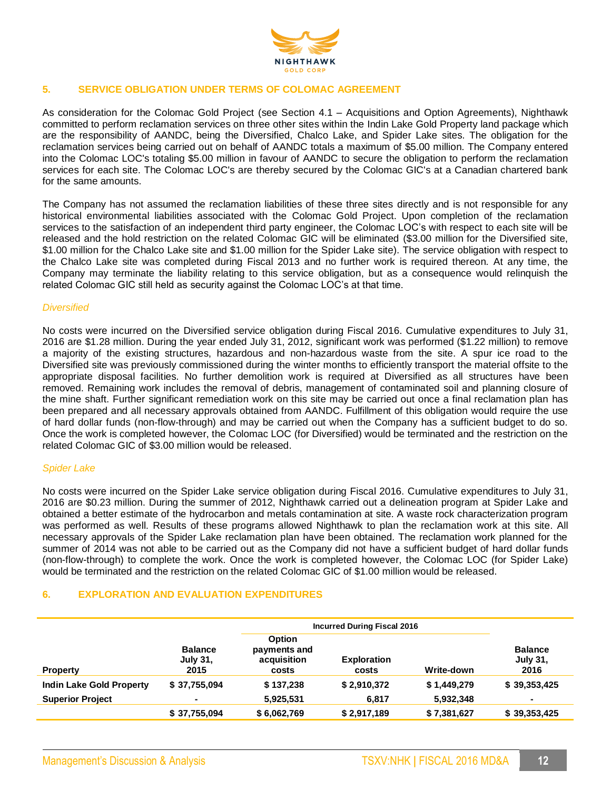

# **5. SERVICE OBLIGATION UNDER TERMS OF COLOMAC AGREEMENT**

As consideration for the Colomac Gold Project (see Section 4.1 – Acquisitions and Option Agreements), Nighthawk committed to perform reclamation services on three other sites within the Indin Lake Gold Property land package which are the responsibility of AANDC, being the Diversified, Chalco Lake, and Spider Lake sites. The obligation for the reclamation services being carried out on behalf of AANDC totals a maximum of \$5.00 million. The Company entered into the Colomac LOC's totaling \$5.00 million in favour of AANDC to secure the obligation to perform the reclamation services for each site. The Colomac LOC's are thereby secured by the Colomac GIC's at a Canadian chartered bank for the same amounts.

The Company has not assumed the reclamation liabilities of these three sites directly and is not responsible for any historical environmental liabilities associated with the Colomac Gold Project. Upon completion of the reclamation services to the satisfaction of an independent third party engineer, the Colomac LOC's with respect to each site will be released and the hold restriction on the related Colomac GIC will be eliminated (\$3.00 million for the Diversified site, \$1.00 million for the Chalco Lake site and \$1.00 million for the Spider Lake site). The service obligation with respect to the Chalco Lake site was completed during Fiscal 2013 and no further work is required thereon. At any time, the Company may terminate the liability relating to this service obligation, but as a consequence would relinquish the related Colomac GIC still held as security against the Colomac LOC's at that time.

#### *Diversified*

No costs were incurred on the Diversified service obligation during Fiscal 2016. Cumulative expenditures to July 31, 2016 are \$1.28 million. During the year ended July 31, 2012, significant work was performed (\$1.22 million) to remove a majority of the existing structures, hazardous and non-hazardous waste from the site. A spur ice road to the Diversified site was previously commissioned during the winter months to efficiently transport the material offsite to the appropriate disposal facilities. No further demolition work is required at Diversified as all structures have been removed. Remaining work includes the removal of debris, management of contaminated soil and planning closure of the mine shaft. Further significant remediation work on this site may be carried out once a final reclamation plan has been prepared and all necessary approvals obtained from AANDC. Fulfillment of this obligation would require the use of hard dollar funds (non-flow-through) and may be carried out when the Company has a sufficient budget to do so. Once the work is completed however, the Colomac LOC (for Diversified) would be terminated and the restriction on the related Colomac GIC of \$3.00 million would be released.

### *Spider Lake*

No costs were incurred on the Spider Lake service obligation during Fiscal 2016. Cumulative expenditures to July 31, 2016 are \$0.23 million. During the summer of 2012, Nighthawk carried out a delineation program at Spider Lake and obtained a better estimate of the hydrocarbon and metals contamination at site. A waste rock characterization program was performed as well. Results of these programs allowed Nighthawk to plan the reclamation work at this site. All necessary approvals of the Spider Lake reclamation plan have been obtained. The reclamation work planned for the summer of 2014 was not able to be carried out as the Company did not have a sufficient budget of hard dollar funds (non-flow-through) to complete the work. Once the work is completed however, the Colomac LOC (for Spider Lake) would be terminated and the restriction on the related Colomac GIC of \$1.00 million would be released.

### **6. EXPLORATION AND EVALUATION EXPENDITURES**

|                                 |                                           | <b>Incurred During Fiscal 2016</b>                    |                             |             |                                           |
|---------------------------------|-------------------------------------------|-------------------------------------------------------|-----------------------------|-------------|-------------------------------------------|
| <b>Property</b>                 | <b>Balance</b><br><b>July 31,</b><br>2015 | <b>Option</b><br>payments and<br>acquisition<br>costs | <b>Exploration</b><br>costs | Write-down  | <b>Balance</b><br><b>July 31,</b><br>2016 |
| <b>Indin Lake Gold Property</b> | \$37,755,094                              | \$137,238                                             | \$2,910,372                 | \$1,449,279 | \$39,353,425                              |
| <b>Superior Project</b>         | ۰                                         | 5,925,531                                             | 6.817                       | 5,932,348   | $\blacksquare$                            |
|                                 | \$37,755,094                              | \$6,062,769                                           | \$2,917,189                 | \$7,381,627 | \$39,353,425                              |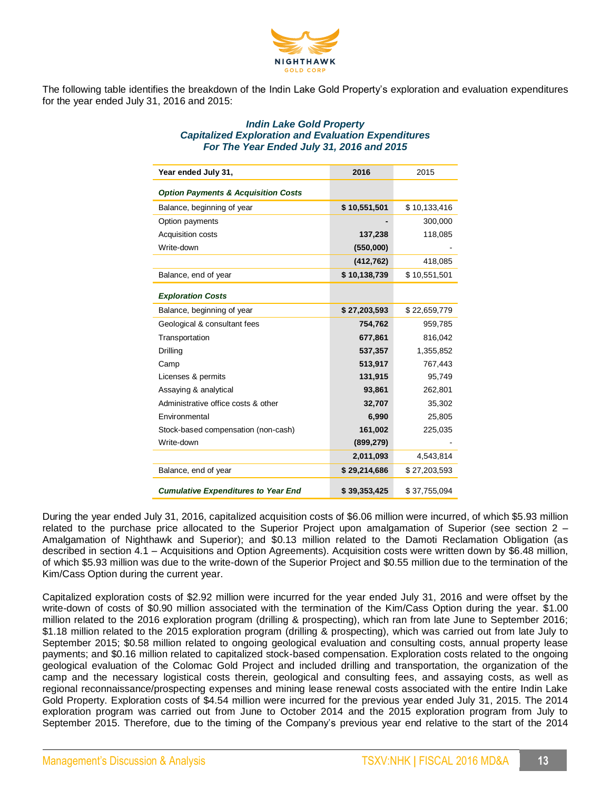

The following table identifies the breakdown of the Indin Lake Gold Property's exploration and evaluation expenditures for the year ended July 31, 2016 and 2015:

### *Indin Lake Gold Property Capitalized Exploration and Evaluation Expenditures For The Year Ended July 31, 2016 and 2015*

| Year ended July 31,                            | 2016         | 2015         |
|------------------------------------------------|--------------|--------------|
| <b>Option Payments &amp; Acquisition Costs</b> |              |              |
| Balance, beginning of year                     | \$10,551,501 | \$10,133,416 |
| Option payments                                |              | 300,000      |
| Acquisition costs                              | 137,238      | 118,085      |
| Write-down                                     | (550,000)    |              |
|                                                | (412, 762)   | 418,085      |
| Balance, end of year                           | \$10,138,739 | \$10,551,501 |
| <b>Exploration Costs</b>                       |              |              |
| Balance, beginning of year                     | \$27,203,593 | \$22,659,779 |
| Geological & consultant fees                   | 754,762      | 959,785      |
| Transportation                                 | 677,861      | 816,042      |
| Drilling                                       | 537,357      | 1,355,852    |
| Camp                                           | 513,917      | 767,443      |
| Licenses & permits                             | 131,915      | 95,749       |
| Assaying & analytical                          | 93,861       | 262,801      |
| Administrative office costs & other            | 32,707       | 35,302       |
| Environmental                                  | 6,990        | 25,805       |
| Stock-based compensation (non-cash)            | 161,002      | 225,035      |
| Write-down                                     | (899, 279)   |              |
|                                                | 2,011,093    | 4,543,814    |
| Balance, end of year                           | \$29,214,686 | \$27,203,593 |
| <b>Cumulative Expenditures to Year End</b>     | \$39,353,425 | \$37,755,094 |

During the year ended July 31, 2016, capitalized acquisition costs of \$6.06 million were incurred, of which \$5.93 million related to the purchase price allocated to the Superior Project upon amalgamation of Superior (see section 2 – Amalgamation of Nighthawk and Superior); and \$0.13 million related to the Damoti Reclamation Obligation (as described in section 4.1 – Acquisitions and Option Agreements). Acquisition costs were written down by \$6.48 million, of which \$5.93 million was due to the write-down of the Superior Project and \$0.55 million due to the termination of the Kim/Cass Option during the current year.

Capitalized exploration costs of \$2.92 million were incurred for the year ended July 31, 2016 and were offset by the write-down of costs of \$0.90 million associated with the termination of the Kim/Cass Option during the year. \$1.00 million related to the 2016 exploration program (drilling & prospecting), which ran from late June to September 2016; \$1.18 million related to the 2015 exploration program (drilling & prospecting), which was carried out from late July to September 2015; \$0.58 million related to ongoing geological evaluation and consulting costs, annual property lease payments; and \$0.16 million related to capitalized stock-based compensation. Exploration costs related to the ongoing geological evaluation of the Colomac Gold Project and included drilling and transportation, the organization of the camp and the necessary logistical costs therein, geological and consulting fees, and assaying costs, as well as regional reconnaissance/prospecting expenses and mining lease renewal costs associated with the entire Indin Lake Gold Property. Exploration costs of \$4.54 million were incurred for the previous year ended July 31, 2015. The 2014 exploration program was carried out from June to October 2014 and the 2015 exploration program from July to September 2015. Therefore, due to the timing of the Company's previous year end relative to the start of the 2014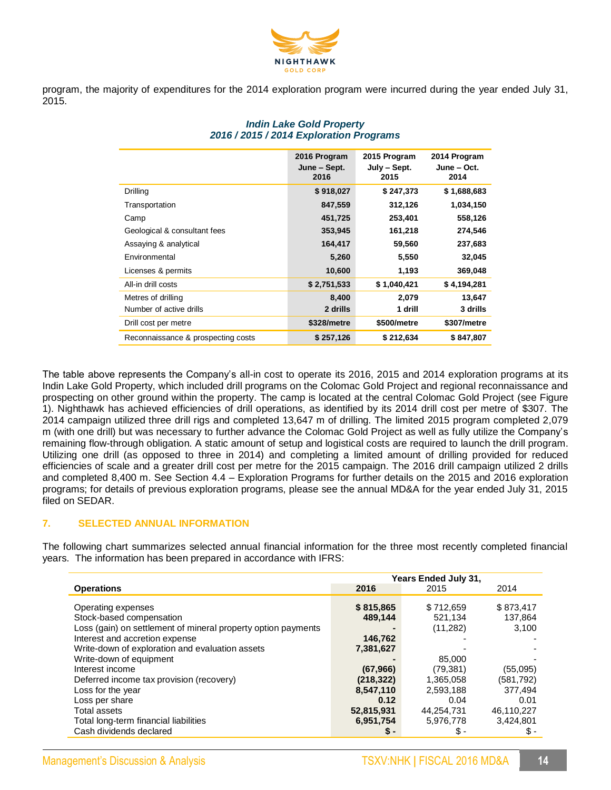

program, the majority of expenditures for the 2014 exploration program were incurred during the year ended July 31, 2015.

|                                    | 2016 Program<br>June - Sept.<br>2016 | 2015 Program<br>$July - Sept.$<br>2015 | 2014 Program<br>June – Oct.<br>2014 |
|------------------------------------|--------------------------------------|----------------------------------------|-------------------------------------|
| Drilling                           | \$918,027                            | \$247,373                              | \$1,688,683                         |
| Transportation                     | 847,559                              | 312,126                                | 1,034,150                           |
| Camp                               | 451,725                              | 253,401                                | 558,126                             |
| Geological & consultant fees       | 353,945                              | 161,218                                | 274,546                             |
| Assaying & analytical              | 164,417                              | 59,560                                 | 237,683                             |
| Environmental                      | 5,260                                | 5,550                                  | 32,045                              |
| Licenses & permits                 | 10,600                               | 1,193                                  | 369,048                             |
| All-in drill costs                 | \$2,751,533                          | \$1,040,421                            | \$4,194,281                         |
| Metres of drilling                 | 8,400                                | 2,079                                  | 13,647                              |
| Number of active drills            | 2 drills                             | 1 drill                                | 3 drills                            |
| Drill cost per metre               | \$328/metre                          | \$500/metre                            | \$307/metre                         |
| Reconnaissance & prospecting costs | \$257,126                            | \$212,634                              | \$847,807                           |

# *Indin Lake Gold Property 2016 / 2015 / 2014 Exploration Programs*

The table above represents the Company's all-in cost to operate its 2016, 2015 and 2014 exploration programs at its Indin Lake Gold Property, which included drill programs on the Colomac Gold Project and regional reconnaissance and prospecting on other ground within the property. The camp is located at the central Colomac Gold Project (see Figure 1). Nighthawk has achieved efficiencies of drill operations, as identified by its 2014 drill cost per metre of \$307. The 2014 campaign utilized three drill rigs and completed 13,647 m of drilling. The limited 2015 program completed 2,079 m (with one drill) but was necessary to further advance the Colomac Gold Project as well as fully utilize the Company's remaining flow-through obligation. A static amount of setup and logistical costs are required to launch the drill program. Utilizing one drill (as opposed to three in 2014) and completing a limited amount of drilling provided for reduced efficiencies of scale and a greater drill cost per metre for the 2015 campaign. The 2016 drill campaign utilized 2 drills and completed 8,400 m. See Section 4.4 – Exploration Programs for further details on the 2015 and 2016 exploration programs; for details of previous exploration programs, please see the annual MD&A for the year ended July 31, 2015 filed on SEDAR.

# **7. SELECTED ANNUAL INFORMATION**

The following chart summarizes selected annual financial information for the three most recently completed financial years. The information has been prepared in accordance with IFRS:

|                                                               | Years Ended July 31, |            |            |  |
|---------------------------------------------------------------|----------------------|------------|------------|--|
| <b>Operations</b>                                             | 2016                 | 2015       | 2014       |  |
|                                                               |                      |            |            |  |
| Operating expenses                                            | \$815,865            | \$712,659  | \$873,417  |  |
| Stock-based compensation                                      | 489.144              | 521,134    | 137,864    |  |
| Loss (gain) on settlement of mineral property option payments |                      | (11,282)   | 3,100      |  |
| Interest and accretion expense                                | 146,762              |            |            |  |
| Write-down of exploration and evaluation assets               | 7,381,627            |            |            |  |
| Write-down of equipment                                       |                      | 85,000     |            |  |
| Interest income                                               | (67, 966)            | (79, 381)  | (55,095)   |  |
| Deferred income tax provision (recovery)                      | (218, 322)           | 1,365,058  | (581, 792) |  |
| Loss for the year                                             | 8,547,110            | 2,593,188  | 377,494    |  |
| Loss per share                                                | 0.12                 | 0.04       | 0.01       |  |
| Total assets                                                  | 52,815,931           | 44,254,731 | 46,110,227 |  |
| Total long-term financial liabilities                         | 6,951,754            | 5,976,778  | 3.424.801  |  |
| Cash dividends declared                                       | \$ -                 | \$ -       | \$-        |  |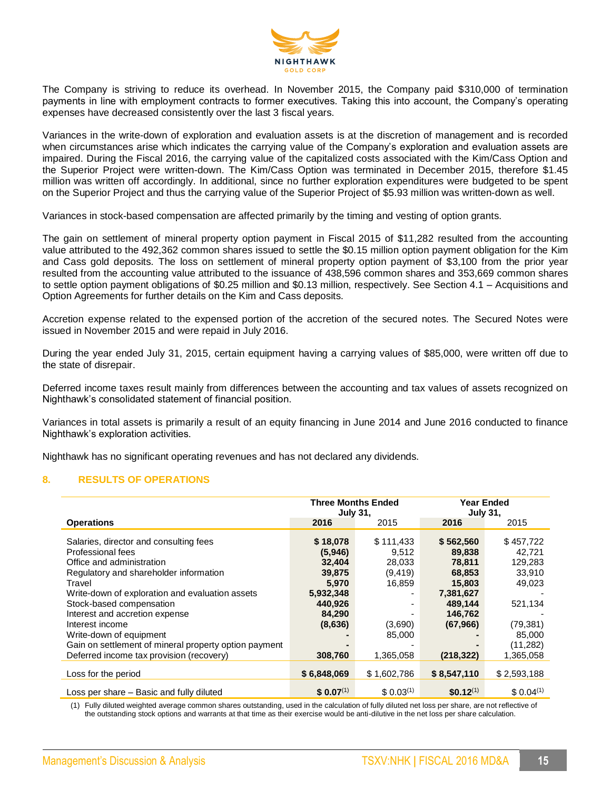

The Company is striving to reduce its overhead. In November 2015, the Company paid \$310,000 of termination payments in line with employment contracts to former executives. Taking this into account, the Company's operating expenses have decreased consistently over the last 3 fiscal years.

Variances in the write-down of exploration and evaluation assets is at the discretion of management and is recorded when circumstances arise which indicates the carrying value of the Company's exploration and evaluation assets are impaired. During the Fiscal 2016, the carrying value of the capitalized costs associated with the Kim/Cass Option and the Superior Project were written-down. The Kim/Cass Option was terminated in December 2015, therefore \$1.45 million was written off accordingly. In additional, since no further exploration expenditures were budgeted to be spent on the Superior Project and thus the carrying value of the Superior Project of \$5.93 million was written-down as well.

Variances in stock-based compensation are affected primarily by the timing and vesting of option grants.

The gain on settlement of mineral property option payment in Fiscal 2015 of \$11,282 resulted from the accounting value attributed to the 492,362 common shares issued to settle the \$0.15 million option payment obligation for the Kim and Cass gold deposits. The loss on settlement of mineral property option payment of \$3,100 from the prior year resulted from the accounting value attributed to the issuance of 438,596 common shares and 353,669 common shares to settle option payment obligations of \$0.25 million and \$0.13 million, respectively. See Section 4.1 – Acquisitions and Option Agreements for further details on the Kim and Cass deposits.

Accretion expense related to the expensed portion of the accretion of the secured notes. The Secured Notes were issued in November 2015 and were repaid in July 2016.

During the year ended July 31, 2015, certain equipment having a carrying values of \$85,000, were written off due to the state of disrepair.

Deferred income taxes result mainly from differences between the accounting and tax values of assets recognized on Nighthawk's consolidated statement of financial position.

Variances in total assets is primarily a result of an equity financing in June 2014 and June 2016 conducted to finance Nighthawk's exploration activities.

Nighthawk has no significant operating revenues and has not declared any dividends.

### **8. RESULTS OF OPERATIONS**

|                                                                                                                                                                                                                                                                                                                                                                      | <b>Three Months Ended</b><br><b>July 31,</b>                                                  |                                                                         | <b>Year Ended</b><br><b>July 31,</b>                                                              |                                                                                                  |
|----------------------------------------------------------------------------------------------------------------------------------------------------------------------------------------------------------------------------------------------------------------------------------------------------------------------------------------------------------------------|-----------------------------------------------------------------------------------------------|-------------------------------------------------------------------------|---------------------------------------------------------------------------------------------------|--------------------------------------------------------------------------------------------------|
| <b>Operations</b>                                                                                                                                                                                                                                                                                                                                                    | 2016                                                                                          | 2015                                                                    | 2016                                                                                              | 2015                                                                                             |
| Salaries, director and consulting fees<br>Professional fees<br>Office and administration<br>Regulatory and shareholder information<br>Travel<br>Write-down of exploration and evaluation assets<br>Stock-based compensation<br>Interest and accretion expense<br>Interest income<br>Write-down of equipment<br>Gain on settlement of mineral property option payment | \$18,078<br>(5,946)<br>32,404<br>39,875<br>5,970<br>5,932,348<br>440,926<br>84,290<br>(8,636) | \$111,433<br>9,512<br>28.033<br>(9, 419)<br>16,859<br>(3,690)<br>85,000 | \$562,560<br>89,838<br>78.811<br>68,853<br>15,803<br>7,381,627<br>489,144<br>146,762<br>(67, 966) | \$457,722<br>42,721<br>129.283<br>33.910<br>49,023<br>521,134<br>(79, 381)<br>85,000<br>(11,282) |
| Deferred income tax provision (recovery)                                                                                                                                                                                                                                                                                                                             | 308,760                                                                                       | 1,365,058                                                               | (218, 322)                                                                                        | 1,365,058                                                                                        |
| Loss for the period                                                                                                                                                                                                                                                                                                                                                  | \$6,848,069                                                                                   | \$1,602,786                                                             | \$8,547,110                                                                                       | \$2,593,188                                                                                      |
| Loss per share – Basic and fully diluted                                                                                                                                                                                                                                                                                                                             | $$0.07^{(1)}$                                                                                 | \$0.03 <sup>(1)</sup>                                                   | $$0.12^{(1)}$$                                                                                    | \$0.04 <sup>(1)</sup>                                                                            |
|                                                                                                                                                                                                                                                                                                                                                                      |                                                                                               |                                                                         |                                                                                                   |                                                                                                  |

(1) Fully diluted weighted average common shares outstanding, used in the calculation of fully diluted net loss per share, are not reflective of the outstanding stock options and warrants at that time as their exercise would be anti-dilutive in the net loss per share calculation.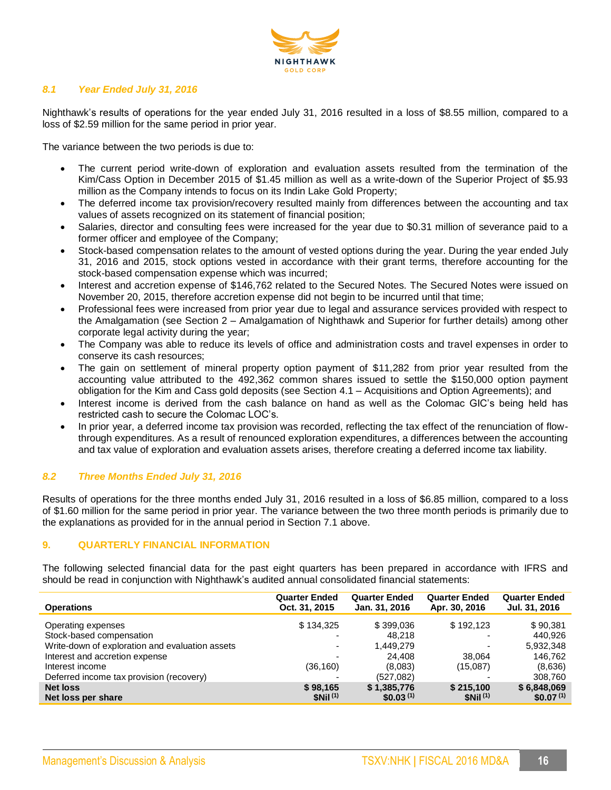

### *8.1 Year Ended July 31, 2016*

Nighthawk's results of operations for the year ended July 31, 2016 resulted in a loss of \$8.55 million, compared to a loss of \$2.59 million for the same period in prior year.

The variance between the two periods is due to:

- The current period write-down of exploration and evaluation assets resulted from the termination of the Kim/Cass Option in December 2015 of \$1.45 million as well as a write-down of the Superior Project of \$5.93 million as the Company intends to focus on its Indin Lake Gold Property;
- The deferred income tax provision/recovery resulted mainly from differences between the accounting and tax values of assets recognized on its statement of financial position;
- Salaries, director and consulting fees were increased for the year due to \$0.31 million of severance paid to a former officer and employee of the Company;
- Stock-based compensation relates to the amount of vested options during the year. During the year ended July 31, 2016 and 2015, stock options vested in accordance with their grant terms, therefore accounting for the stock-based compensation expense which was incurred;
- Interest and accretion expense of \$146,762 related to the Secured Notes. The Secured Notes were issued on November 20, 2015, therefore accretion expense did not begin to be incurred until that time;
- Professional fees were increased from prior year due to legal and assurance services provided with respect to the Amalgamation (see Section 2 – Amalgamation of Nighthawk and Superior for further details) among other corporate legal activity during the year;
- The Company was able to reduce its levels of office and administration costs and travel expenses in order to conserve its cash resources;
- The gain on settlement of mineral property option payment of \$11,282 from prior year resulted from the accounting value attributed to the 492,362 common shares issued to settle the \$150,000 option payment obligation for the Kim and Cass gold deposits (see Section 4.1 – Acquisitions and Option Agreements); and
- Interest income is derived from the cash balance on hand as well as the Colomac GIC's being held has restricted cash to secure the Colomac LOC's.
- In prior year, a deferred income tax provision was recorded, reflecting the tax effect of the renunciation of flowthrough expenditures. As a result of renounced exploration expenditures, a differences between the accounting and tax value of exploration and evaluation assets arises, therefore creating a deferred income tax liability.

# *8.2 Three Months Ended July 31, 2016*

Results of operations for the three months ended July 31, 2016 resulted in a loss of \$6.85 million, compared to a loss of \$1.60 million for the same period in prior year. The variance between the two three month periods is primarily due to the explanations as provided for in the annual period in Section 7.1 above.

### **9. QUARTERLY FINANCIAL INFORMATION**

The following selected financial data for the past eight quarters has been prepared in accordance with IFRS and should be read in conjunction with Nighthawk's audited annual consolidated financial statements:

| <b>Operations</b>                                                                 | <b>Quarter Ended</b><br>Oct. 31, 2015 | <b>Quarter Ended</b><br>Jan. 31, 2016 | <b>Quarter Ended</b><br>Apr. 30, 2016 | <b>Quarter Ended</b><br>Jul. 31, 2016 |
|-----------------------------------------------------------------------------------|---------------------------------------|---------------------------------------|---------------------------------------|---------------------------------------|
| Operating expenses                                                                | \$134,325                             | \$399,036                             | \$192.123                             | \$90,381                              |
| Stock-based compensation                                                          |                                       | 48.218                                |                                       | 440.926                               |
| Write-down of exploration and evaluation assets<br>Interest and accretion expense | ۰                                     | 1,449,279<br>24.408                   | 38.064                                | 5,932,348<br>146,762                  |
| Interest income                                                                   | (36, 160)                             | (8,083)                               | (15,087)                              | (8,636)                               |
| Deferred income tax provision (recovery)                                          |                                       | (527,082)                             |                                       | 308,760                               |
| <b>Net loss</b><br>Net loss per share                                             | \$98,165<br>\$Nii <sup>(1)</sup>      | \$1,385,776<br>\$0.03 <sup>(1)</sup>  | \$215.100<br>\$Nii <sup>(1)</sup>     | \$6,848,069<br>\$0.07 <sup>(1)</sup>  |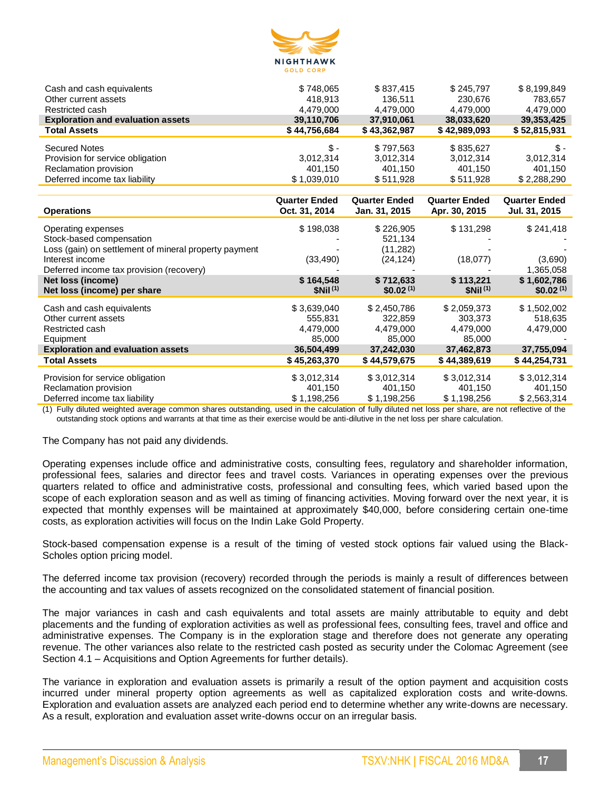

| Cash and cash equivalents                | \$748.065    | \$837.415    | \$245.797    | \$8,199,849  |
|------------------------------------------|--------------|--------------|--------------|--------------|
| Other current assets                     | 418.913      | 136.511      | 230.676      | 783,657      |
| Restricted cash                          | 4.479.000    | 4.479.000    | 4.479.000    | 4,479,000    |
| <b>Exploration and evaluation assets</b> | 39,110,706   | 37.910.061   | 38,033,620   | 39,353,425   |
| <b>Total Assets</b>                      | \$44,756,684 | \$43,362,987 | \$42,989,093 | \$52,815,931 |
| <b>Secured Notes</b>                     | Տ.-          | \$797.563    | \$835,627    | Տ.-          |
| Provision for service obligation         | 3,012,314    | 3.012.314    | 3.012.314    | 3,012,314    |
| Reclamation provision                    | 401.150      | 401.150      | 401.150      | 401.150      |
| Deferred income tax liability            | \$1,039,010  | \$511,928    | \$511,928    | \$2,288,290  |

| <b>Operations</b>                                                                                                                           | <b>Quarter Ended</b><br>Oct. 31, 2014 | <b>Quarter Ended</b><br>Jan. 31, 2015 | <b>Quarter Ended</b><br>Apr. 30, 2015 | <b>Quarter Ended</b><br>Jul. 31, 2015 |
|---------------------------------------------------------------------------------------------------------------------------------------------|---------------------------------------|---------------------------------------|---------------------------------------|---------------------------------------|
| Operating expenses                                                                                                                          | \$198,038                             | \$226,905                             | \$131,298                             | \$241,418                             |
| Stock-based compensation                                                                                                                    |                                       | 521,134                               |                                       |                                       |
| Loss (gain) on settlement of mineral property payment                                                                                       |                                       | (11, 282)                             |                                       |                                       |
| Interest income                                                                                                                             | (33, 490)                             | (24, 124)                             | (18,077)                              | (3,690)                               |
| Deferred income tax provision (recovery)                                                                                                    |                                       |                                       |                                       | 1,365,058                             |
| Net loss (income)                                                                                                                           | \$164,548                             | \$712,633                             | \$113,221                             | \$1,602,786                           |
| Net loss (income) per share                                                                                                                 | $$Nii^{(1)}$$                         | \$0.02 <sup>(1)</sup>                 | \$Nii <sup>(1)</sup>                  | \$0.02 <sup>(1)</sup>                 |
| Cash and cash equivalents                                                                                                                   | \$3,639,040                           | \$2,450,786                           | \$2,059,373                           | \$1,502,002                           |
| Other current assets                                                                                                                        | 555,831                               | 322,859                               | 303,373                               | 518,635                               |
| Restricted cash                                                                                                                             | 4,479,000                             | 4,479,000                             | 4,479,000                             | 4,479,000                             |
| Equipment                                                                                                                                   | 85,000                                | 85,000                                | 85,000                                |                                       |
| <b>Exploration and evaluation assets</b>                                                                                                    | 36,504,499                            | 37,242,030                            | 37,462,873                            | 37,755,094                            |
| <b>Total Assets</b>                                                                                                                         | \$45,263,370                          | \$44,579,675                          | \$44,389,619                          | \$44,254,731                          |
| Provision for service obligation                                                                                                            | \$3,012,314                           | \$3,012,314                           | \$3,012,314                           | \$3,012,314                           |
| Reclamation provision                                                                                                                       | 401,150                               | 401.150                               | 401.150                               | 401,150                               |
| Deferred income tax liability                                                                                                               | \$1,198,256                           | \$1,198,256                           | \$1,198,256                           | \$2,563,314                           |
| (4). Eally allated and alternative common choice catched lines and be the coloulation of falls allated met home monopological method of the |                                       |                                       |                                       |                                       |

(1) Fully diluted weighted average common shares outstanding, used in the calculation of fully diluted net loss per share, are not reflective of the outstanding stock options and warrants at that time as their exercise would be anti-dilutive in the net loss per share calculation.

The Company has not paid any dividends.

Operating expenses include office and administrative costs, consulting fees, regulatory and shareholder information, professional fees, salaries and director fees and travel costs. Variances in operating expenses over the previous quarters related to office and administrative costs, professional and consulting fees, which varied based upon the scope of each exploration season and as well as timing of financing activities. Moving forward over the next year, it is expected that monthly expenses will be maintained at approximately \$40,000, before considering certain one-time costs, as exploration activities will focus on the Indin Lake Gold Property.

Stock-based compensation expense is a result of the timing of vested stock options fair valued using the Black-Scholes option pricing model.

The deferred income tax provision (recovery) recorded through the periods is mainly a result of differences between the accounting and tax values of assets recognized on the consolidated statement of financial position.

The major variances in cash and cash equivalents and total assets are mainly attributable to equity and debt placements and the funding of exploration activities as well as professional fees, consulting fees, travel and office and administrative expenses. The Company is in the exploration stage and therefore does not generate any operating revenue. The other variances also relate to the restricted cash posted as security under the Colomac Agreement (see Section 4.1 – Acquisitions and Option Agreements for further details).

The variance in exploration and evaluation assets is primarily a result of the option payment and acquisition costs incurred under mineral property option agreements as well as capitalized exploration costs and write-downs. Exploration and evaluation assets are analyzed each period end to determine whether any write-downs are necessary. As a result, exploration and evaluation asset write-downs occur on an irregular basis.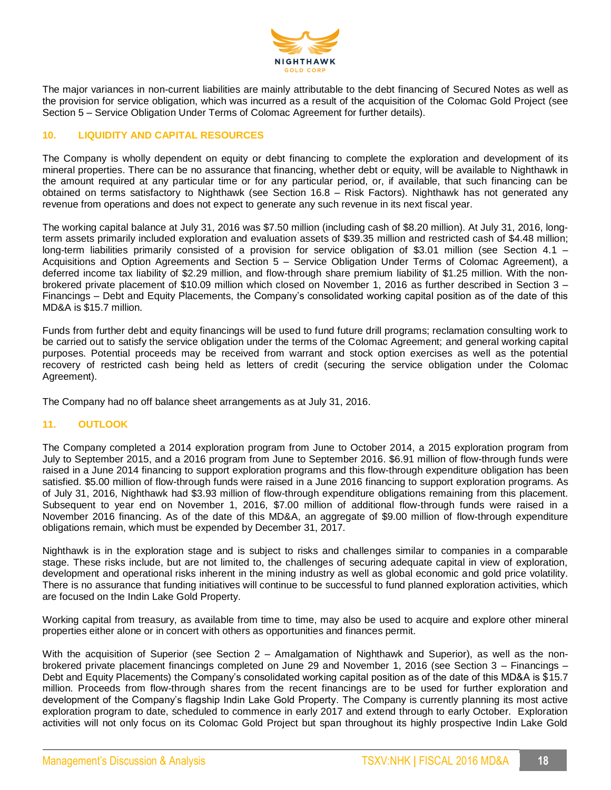

The major variances in non-current liabilities are mainly attributable to the debt financing of Secured Notes as well as the provision for service obligation, which was incurred as a result of the acquisition of the Colomac Gold Project (see Section 5 – Service Obligation Under Terms of Colomac Agreement for further details).

### **10. LIQUIDITY AND CAPITAL RESOURCES**

The Company is wholly dependent on equity or debt financing to complete the exploration and development of its mineral properties. There can be no assurance that financing, whether debt or equity, will be available to Nighthawk in the amount required at any particular time or for any particular period, or, if available, that such financing can be obtained on terms satisfactory to Nighthawk (see Section 16.8 – Risk Factors). Nighthawk has not generated any revenue from operations and does not expect to generate any such revenue in its next fiscal year.

The working capital balance at July 31, 2016 was \$7.50 million (including cash of \$8.20 million). At July 31, 2016, longterm assets primarily included exploration and evaluation assets of \$39.35 million and restricted cash of \$4.48 million; long-term liabilities primarily consisted of a provision for service obligation of \$3.01 million (see Section 4.1 – Acquisitions and Option Agreements and Section 5 – Service Obligation Under Terms of Colomac Agreement), a deferred income tax liability of \$2.29 million, and flow-through share premium liability of \$1.25 million. With the nonbrokered private placement of \$10.09 million which closed on November 1, 2016 as further described in Section 3 – Financings – Debt and Equity Placements, the Company's consolidated working capital position as of the date of this MD&A is \$15.7 million.

Funds from further debt and equity financings will be used to fund future drill programs; reclamation consulting work to be carried out to satisfy the service obligation under the terms of the Colomac Agreement; and general working capital purposes. Potential proceeds may be received from warrant and stock option exercises as well as the potential recovery of restricted cash being held as letters of credit (securing the service obligation under the Colomac Agreement).

The Company had no off balance sheet arrangements as at July 31, 2016.

# **11. OUTLOOK**

The Company completed a 2014 exploration program from June to October 2014, a 2015 exploration program from July to September 2015, and a 2016 program from June to September 2016. \$6.91 million of flow-through funds were raised in a June 2014 financing to support exploration programs and this flow-through expenditure obligation has been satisfied. \$5.00 million of flow-through funds were raised in a June 2016 financing to support exploration programs. As of July 31, 2016, Nighthawk had \$3.93 million of flow-through expenditure obligations remaining from this placement. Subsequent to year end on November 1, 2016, \$7.00 million of additional flow-through funds were raised in a November 2016 financing. As of the date of this MD&A, an aggregate of \$9.00 million of flow-through expenditure obligations remain, which must be expended by December 31, 2017.

Nighthawk is in the exploration stage and is subject to risks and challenges similar to companies in a comparable stage. These risks include, but are not limited to, the challenges of securing adequate capital in view of exploration, development and operational risks inherent in the mining industry as well as global economic and gold price volatility. There is no assurance that funding initiatives will continue to be successful to fund planned exploration activities, which are focused on the Indin Lake Gold Property.

Working capital from treasury, as available from time to time, may also be used to acquire and explore other mineral properties either alone or in concert with others as opportunities and finances permit.

With the acquisition of Superior (see Section 2 – Amalgamation of Nighthawk and Superior), as well as the nonbrokered private placement financings completed on June 29 and November 1, 2016 (see Section 3 – Financings – Debt and Equity Placements) the Company's consolidated working capital position as of the date of this MD&A is \$15.7 million. Proceeds from flow-through shares from the recent financings are to be used for further exploration and development of the Company's flagship Indin Lake Gold Property. The Company is currently planning its most active exploration program to date, scheduled to commence in early 2017 and extend through to early October. Exploration activities will not only focus on its Colomac Gold Project but span throughout its highly prospective Indin Lake Gold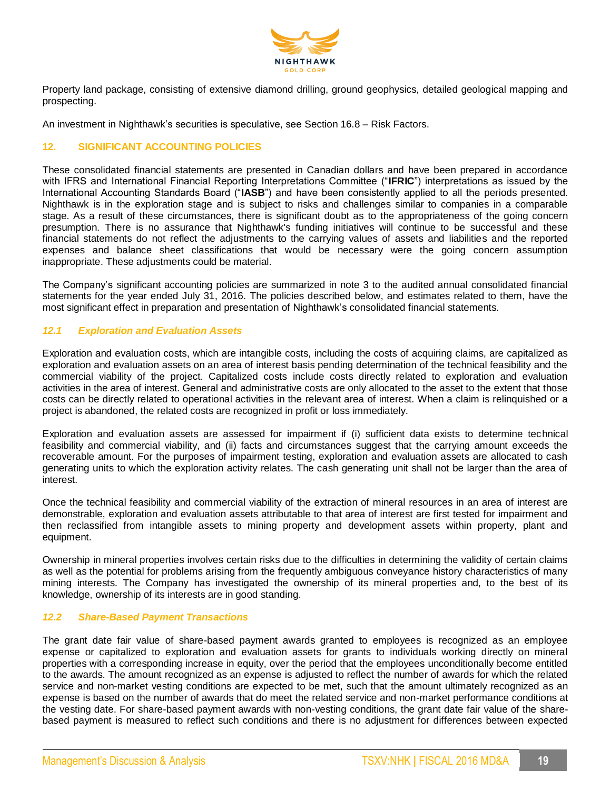

Property land package, consisting of extensive diamond drilling, ground geophysics, detailed geological mapping and prospecting.

An investment in Nighthawk's securities is speculative, see Section 16.8 – Risk Factors.

### **12. SIGNIFICANT ACCOUNTING POLICIES**

These consolidated financial statements are presented in Canadian dollars and have been prepared in accordance with IFRS and International Financial Reporting Interpretations Committee ("**IFRIC**") interpretations as issued by the International Accounting Standards Board ("**IASB**") and have been consistently applied to all the periods presented. Nighthawk is in the exploration stage and is subject to risks and challenges similar to companies in a comparable stage. As a result of these circumstances, there is significant doubt as to the appropriateness of the going concern presumption. There is no assurance that Nighthawk's funding initiatives will continue to be successful and these financial statements do not reflect the adjustments to the carrying values of assets and liabilities and the reported expenses and balance sheet classifications that would be necessary were the going concern assumption inappropriate. These adjustments could be material.

The Company's significant accounting policies are summarized in note 3 to the audited annual consolidated financial statements for the year ended July 31, 2016. The policies described below, and estimates related to them, have the most significant effect in preparation and presentation of Nighthawk's consolidated financial statements.

### *12.1 Exploration and Evaluation Assets*

Exploration and evaluation costs, which are intangible costs, including the costs of acquiring claims, are capitalized as exploration and evaluation assets on an area of interest basis pending determination of the technical feasibility and the commercial viability of the project. Capitalized costs include costs directly related to exploration and evaluation activities in the area of interest. General and administrative costs are only allocated to the asset to the extent that those costs can be directly related to operational activities in the relevant area of interest. When a claim is relinquished or a project is abandoned, the related costs are recognized in profit or loss immediately.

Exploration and evaluation assets are assessed for impairment if (i) sufficient data exists to determine technical feasibility and commercial viability, and (ii) facts and circumstances suggest that the carrying amount exceeds the recoverable amount. For the purposes of impairment testing, exploration and evaluation assets are allocated to cash generating units to which the exploration activity relates. The cash generating unit shall not be larger than the area of interest.

Once the technical feasibility and commercial viability of the extraction of mineral resources in an area of interest are demonstrable, exploration and evaluation assets attributable to that area of interest are first tested for impairment and then reclassified from intangible assets to mining property and development assets within property, plant and equipment.

Ownership in mineral properties involves certain risks due to the difficulties in determining the validity of certain claims as well as the potential for problems arising from the frequently ambiguous conveyance history characteristics of many mining interests. The Company has investigated the ownership of its mineral properties and, to the best of its knowledge, ownership of its interests are in good standing.

### *12.2 Share-Based Payment Transactions*

The grant date fair value of share-based payment awards granted to employees is recognized as an employee expense or capitalized to exploration and evaluation assets for grants to individuals working directly on mineral properties with a corresponding increase in equity, over the period that the employees unconditionally become entitled to the awards. The amount recognized as an expense is adjusted to reflect the number of awards for which the related service and non-market vesting conditions are expected to be met, such that the amount ultimately recognized as an expense is based on the number of awards that do meet the related service and non-market performance conditions at the vesting date. For share-based payment awards with non-vesting conditions, the grant date fair value of the sharebased payment is measured to reflect such conditions and there is no adjustment for differences between expected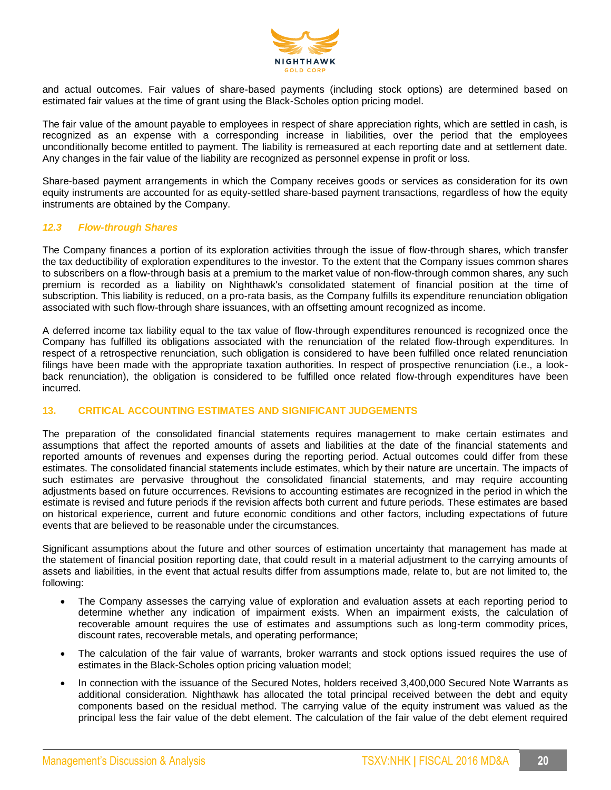

and actual outcomes. Fair values of share-based payments (including stock options) are determined based on estimated fair values at the time of grant using the Black-Scholes option pricing model.

The fair value of the amount payable to employees in respect of share appreciation rights, which are settled in cash, is recognized as an expense with a corresponding increase in liabilities, over the period that the employees unconditionally become entitled to payment. The liability is remeasured at each reporting date and at settlement date. Any changes in the fair value of the liability are recognized as personnel expense in profit or loss.

Share-based payment arrangements in which the Company receives goods or services as consideration for its own equity instruments are accounted for as equity-settled share-based payment transactions, regardless of how the equity instruments are obtained by the Company.

### *12.3 Flow-through Shares*

The Company finances a portion of its exploration activities through the issue of flow-through shares, which transfer the tax deductibility of exploration expenditures to the investor. To the extent that the Company issues common shares to subscribers on a flow-through basis at a premium to the market value of non-flow-through common shares, any such premium is recorded as a liability on Nighthawk's consolidated statement of financial position at the time of subscription. This liability is reduced, on a pro-rata basis, as the Company fulfills its expenditure renunciation obligation associated with such flow-through share issuances, with an offsetting amount recognized as income.

A deferred income tax liability equal to the tax value of flow-through expenditures renounced is recognized once the Company has fulfilled its obligations associated with the renunciation of the related flow-through expenditures. In respect of a retrospective renunciation, such obligation is considered to have been fulfilled once related renunciation filings have been made with the appropriate taxation authorities. In respect of prospective renunciation (i.e., a lookback renunciation), the obligation is considered to be fulfilled once related flow-through expenditures have been incurred.

# **13. CRITICAL ACCOUNTING ESTIMATES AND SIGNIFICANT JUDGEMENTS**

The preparation of the consolidated financial statements requires management to make certain estimates and assumptions that affect the reported amounts of assets and liabilities at the date of the financial statements and reported amounts of revenues and expenses during the reporting period. Actual outcomes could differ from these estimates. The consolidated financial statements include estimates, which by their nature are uncertain. The impacts of such estimates are pervasive throughout the consolidated financial statements, and may require accounting adjustments based on future occurrences. Revisions to accounting estimates are recognized in the period in which the estimate is revised and future periods if the revision affects both current and future periods. These estimates are based on historical experience, current and future economic conditions and other factors, including expectations of future events that are believed to be reasonable under the circumstances.

Significant assumptions about the future and other sources of estimation uncertainty that management has made at the statement of financial position reporting date, that could result in a material adjustment to the carrying amounts of assets and liabilities, in the event that actual results differ from assumptions made, relate to, but are not limited to, the following:

- The Company assesses the carrying value of exploration and evaluation assets at each reporting period to determine whether any indication of impairment exists. When an impairment exists, the calculation of recoverable amount requires the use of estimates and assumptions such as long-term commodity prices, discount rates, recoverable metals, and operating performance;
- The calculation of the fair value of warrants, broker warrants and stock options issued requires the use of estimates in the Black-Scholes option pricing valuation model;
- In connection with the issuance of the Secured Notes, holders received 3,400,000 Secured Note Warrants as additional consideration. Nighthawk has allocated the total principal received between the debt and equity components based on the residual method. The carrying value of the equity instrument was valued as the principal less the fair value of the debt element. The calculation of the fair value of the debt element required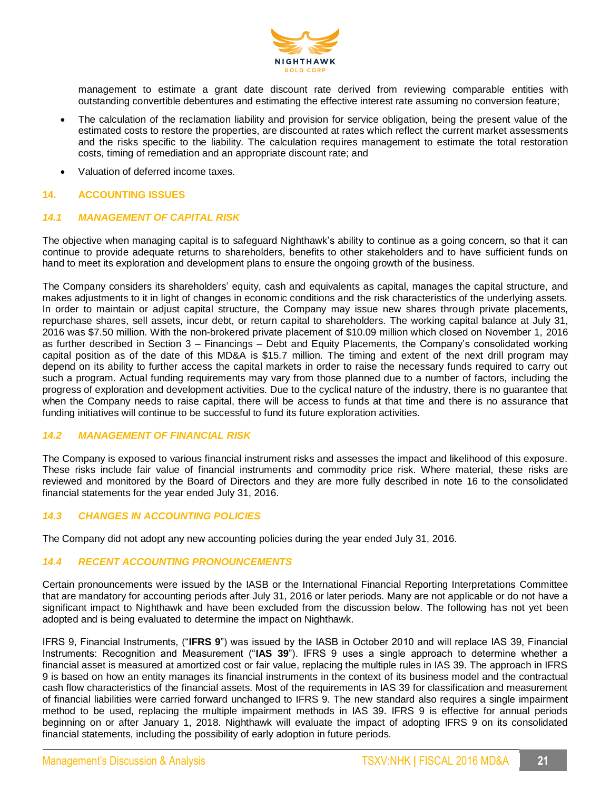

management to estimate a grant date discount rate derived from reviewing comparable entities with outstanding convertible debentures and estimating the effective interest rate assuming no conversion feature;

- The calculation of the reclamation liability and provision for service obligation, being the present value of the estimated costs to restore the properties, are discounted at rates which reflect the current market assessments and the risks specific to the liability. The calculation requires management to estimate the total restoration costs, timing of remediation and an appropriate discount rate; and
- Valuation of deferred income taxes.

### **14. ACCOUNTING ISSUES**

### *14.1 MANAGEMENT OF CAPITAL RISK*

The objective when managing capital is to safeguard Nighthawk's ability to continue as a going concern, so that it can continue to provide adequate returns to shareholders, benefits to other stakeholders and to have sufficient funds on hand to meet its exploration and development plans to ensure the ongoing growth of the business.

The Company considers its shareholders' equity, cash and equivalents as capital, manages the capital structure, and makes adjustments to it in light of changes in economic conditions and the risk characteristics of the underlying assets. In order to maintain or adjust capital structure, the Company may issue new shares through private placements, repurchase shares, sell assets, incur debt, or return capital to shareholders. The working capital balance at July 31, 2016 was \$7.50 million. With the non-brokered private placement of \$10.09 million which closed on November 1, 2016 as further described in Section 3 – Financings – Debt and Equity Placements, the Company's consolidated working capital position as of the date of this MD&A is \$15.7 million. The timing and extent of the next drill program may depend on its ability to further access the capital markets in order to raise the necessary funds required to carry out such a program. Actual funding requirements may vary from those planned due to a number of factors, including the progress of exploration and development activities. Due to the cyclical nature of the industry, there is no guarantee that when the Company needs to raise capital, there will be access to funds at that time and there is no assurance that funding initiatives will continue to be successful to fund its future exploration activities.

### *14.2 MANAGEMENT OF FINANCIAL RISK*

The Company is exposed to various financial instrument risks and assesses the impact and likelihood of this exposure. These risks include fair value of financial instruments and commodity price risk. Where material, these risks are reviewed and monitored by the Board of Directors and they are more fully described in note 16 to the consolidated financial statements for the year ended July 31, 2016.

# *14.3 CHANGES IN ACCOUNTING POLICIES*

The Company did not adopt any new accounting policies during the year ended July 31, 2016.

### *14.4 RECENT ACCOUNTING PRONOUNCEMENTS*

Certain pronouncements were issued by the IASB or the International Financial Reporting Interpretations Committee that are mandatory for accounting periods after July 31, 2016 or later periods. Many are not applicable or do not have a significant impact to Nighthawk and have been excluded from the discussion below. The following has not yet been adopted and is being evaluated to determine the impact on Nighthawk.

IFRS 9, Financial Instruments, ("**IFRS 9**") was issued by the IASB in October 2010 and will replace IAS 39, Financial Instruments: Recognition and Measurement ("**IAS 39**"). IFRS 9 uses a single approach to determine whether a financial asset is measured at amortized cost or fair value, replacing the multiple rules in IAS 39. The approach in IFRS 9 is based on how an entity manages its financial instruments in the context of its business model and the contractual cash flow characteristics of the financial assets. Most of the requirements in IAS 39 for classification and measurement of financial liabilities were carried forward unchanged to IFRS 9. The new standard also requires a single impairment method to be used, replacing the multiple impairment methods in IAS 39. IFRS 9 is effective for annual periods beginning on or after January 1, 2018. Nighthawk will evaluate the impact of adopting IFRS 9 on its consolidated financial statements, including the possibility of early adoption in future periods.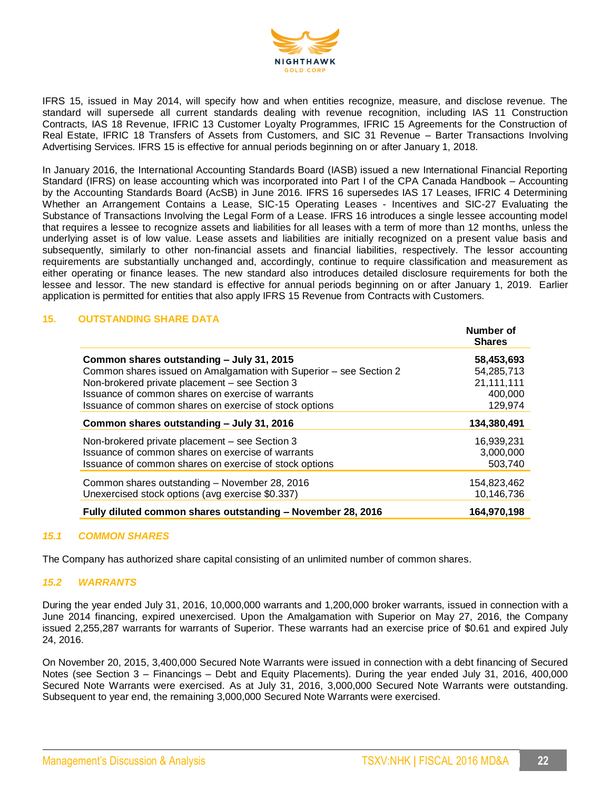

IFRS 15, issued in May 2014, will specify how and when entities recognize, measure, and disclose revenue. The standard will supersede all current standards dealing with revenue recognition, including IAS 11 Construction Contracts, IAS 18 Revenue, IFRIC 13 Customer Loyalty Programmes, IFRIC 15 Agreements for the Construction of Real Estate, IFRIC 18 Transfers of Assets from Customers, and SIC 31 Revenue – Barter Transactions Involving Advertising Services. IFRS 15 is effective for annual periods beginning on or after January 1, 2018.

In January 2016, the International Accounting Standards Board (IASB) issued a new International Financial Reporting Standard (IFRS) on lease accounting which was incorporated into Part I of the CPA Canada Handbook – Accounting by the Accounting Standards Board (AcSB) in June 2016. IFRS 16 supersedes IAS 17 Leases, IFRIC 4 Determining Whether an Arrangement Contains a Lease, SIC-15 Operating Leases - Incentives and SIC-27 Evaluating the Substance of Transactions Involving the Legal Form of a Lease. IFRS 16 introduces a single lessee accounting model that requires a lessee to recognize assets and liabilities for all leases with a term of more than 12 months, unless the underlying asset is of low value. Lease assets and liabilities are initially recognized on a present value basis and subsequently, similarly to other non-financial assets and financial liabilities, respectively. The lessor accounting requirements are substantially unchanged and, accordingly, continue to require classification and measurement as either operating or finance leases. The new standard also introduces detailed disclosure requirements for both the lessee and lessor. The new standard is effective for annual periods beginning on or after January 1, 2019. Earlier application is permitted for entities that also apply IFRS 15 Revenue from Contracts with Customers.

### **15. OUTSTANDING SHARE DATA**

|                                                                    | Number of<br><b>Shares</b> |
|--------------------------------------------------------------------|----------------------------|
| Common shares outstanding - July 31, 2015                          | 58,453,693                 |
| Common shares issued on Amalgamation with Superior - see Section 2 | 54,285,713                 |
| Non-brokered private placement - see Section 3                     | 21,111,111                 |
| Issuance of common shares on exercise of warrants                  | 400,000                    |
| Issuance of common shares on exercise of stock options             | 129,974                    |
| Common shares outstanding - July 31, 2016                          | 134,380,491                |
| Non-brokered private placement – see Section 3                     | 16,939,231                 |
| Issuance of common shares on exercise of warrants                  | 3,000,000                  |
| Issuance of common shares on exercise of stock options             | 503,740                    |
| Common shares outstanding - November 28, 2016                      | 154,823,462                |
| Unexercised stock options (avg exercise \$0.337)                   | 10,146,736                 |
| Fully diluted common shares outstanding - November 28, 2016        | 164,970,198                |

### *15.1 COMMON SHARES*

The Company has authorized share capital consisting of an unlimited number of common shares.

### *15.2 WARRANTS*

During the year ended July 31, 2016, 10,000,000 warrants and 1,200,000 broker warrants, issued in connection with a June 2014 financing, expired unexercised. Upon the Amalgamation with Superior on May 27, 2016, the Company issued 2,255,287 warrants for warrants of Superior. These warrants had an exercise price of \$0.61 and expired July 24, 2016.

On November 20, 2015, 3,400,000 Secured Note Warrants were issued in connection with a debt financing of Secured Notes (see Section 3 – Financings – Debt and Equity Placements). During the year ended July 31, 2016, 400,000 Secured Note Warrants were exercised. As at July 31, 2016, 3,000,000 Secured Note Warrants were outstanding. Subsequent to year end, the remaining 3,000,000 Secured Note Warrants were exercised.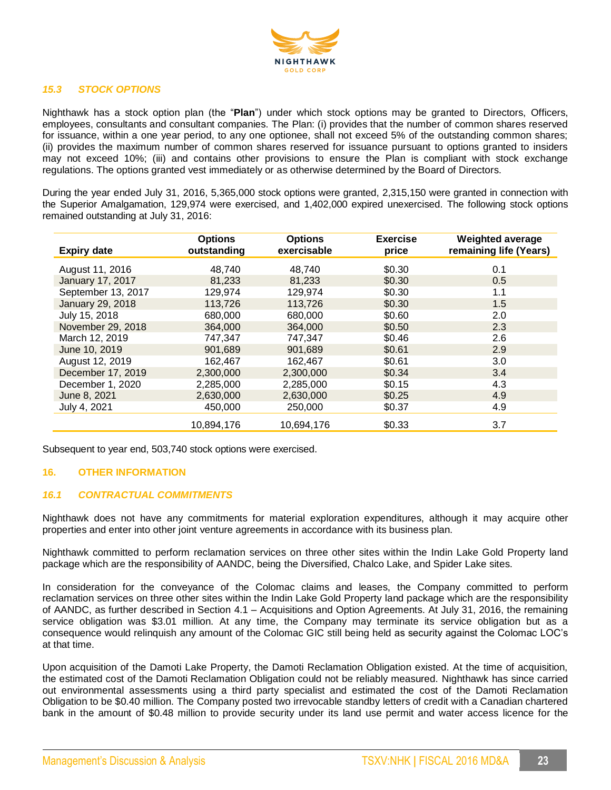

### *15.3 STOCK OPTIONS*

Nighthawk has a stock option plan (the "**Plan**") under which stock options may be granted to Directors, Officers, employees, consultants and consultant companies. The Plan: (i) provides that the number of common shares reserved for issuance, within a one year period, to any one optionee, shall not exceed 5% of the outstanding common shares; (ii) provides the maximum number of common shares reserved for issuance pursuant to options granted to insiders may not exceed 10%; (iii) and contains other provisions to ensure the Plan is compliant with stock exchange regulations. The options granted vest immediately or as otherwise determined by the Board of Directors.

During the year ended July 31, 2016, 5,365,000 stock options were granted, 2,315,150 were granted in connection with the Superior Amalgamation, 129,974 were exercised, and 1,402,000 expired unexercised. The following stock options remained outstanding at July 31, 2016:

| <b>Expiry date</b>      | <b>Options</b><br>outstanding | <b>Options</b><br>exercisable | <b>Exercise</b><br>price | <b>Weighted average</b><br>remaining life (Years) |  |
|-------------------------|-------------------------------|-------------------------------|--------------------------|---------------------------------------------------|--|
| August 11, 2016         | 48,740                        | 48.740                        | \$0.30                   | 0.1                                               |  |
| January 17, 2017        | 81,233                        | 81,233                        | \$0.30                   | 0.5                                               |  |
| September 13, 2017      | 129,974                       | 129.974                       | \$0.30                   | 1.1                                               |  |
| <b>January 29, 2018</b> | 113,726                       | 113,726                       | \$0.30                   | 1.5                                               |  |
| July 15, 2018           | 680,000                       | 680,000                       | \$0.60                   | 2.0                                               |  |
| November 29, 2018       | 364,000                       | 364,000                       | \$0.50                   | 2.3                                               |  |
| March 12, 2019          | 747,347                       | 747,347                       | \$0.46                   | 2.6                                               |  |
| June 10, 2019           | 901.689                       | 901.689                       | \$0.61                   | 2.9                                               |  |
| August 12, 2019         | 162.467                       | 162.467                       | \$0.61                   | 3.0                                               |  |
| December 17, 2019       | 2,300,000                     | 2.300,000                     | \$0.34                   | 3.4                                               |  |
| December 1, 2020        | 2,285,000                     | 2,285,000                     | \$0.15                   | 4.3                                               |  |
| June 8, 2021            | 2,630,000                     | 2,630,000                     | \$0.25                   | 4.9                                               |  |
| July 4, 2021            | 450,000                       | 250,000                       | \$0.37                   | 4.9                                               |  |
|                         | 10,894,176                    | 10,694,176                    | \$0.33                   | 3.7                                               |  |

Subsequent to year end, 503,740 stock options were exercised.

### **16. OTHER INFORMATION**

### *16.1 CONTRACTUAL COMMITMENTS*

Nighthawk does not have any commitments for material exploration expenditures, although it may acquire other properties and enter into other joint venture agreements in accordance with its business plan.

Nighthawk committed to perform reclamation services on three other sites within the Indin Lake Gold Property land package which are the responsibility of AANDC, being the Diversified, Chalco Lake, and Spider Lake sites.

In consideration for the conveyance of the Colomac claims and leases, the Company committed to perform reclamation services on three other sites within the Indin Lake Gold Property land package which are the responsibility of AANDC, as further described in Section 4.1 – Acquisitions and Option Agreements. At July 31, 2016, the remaining service obligation was \$3.01 million. At any time, the Company may terminate its service obligation but as a consequence would relinquish any amount of the Colomac GIC still being held as security against the Colomac LOC's at that time.

Upon acquisition of the Damoti Lake Property, the Damoti Reclamation Obligation existed. At the time of acquisition, the estimated cost of the Damoti Reclamation Obligation could not be reliably measured. Nighthawk has since carried out environmental assessments using a third party specialist and estimated the cost of the Damoti Reclamation Obligation to be \$0.40 million. The Company posted two irrevocable standby letters of credit with a Canadian chartered bank in the amount of \$0.48 million to provide security under its land use permit and water access licence for the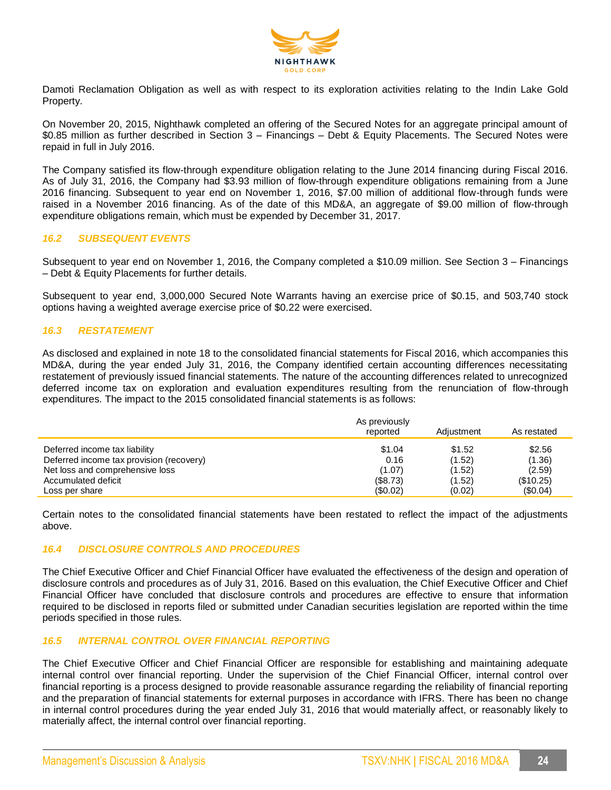

Damoti Reclamation Obligation as well as with respect to its exploration activities relating to the Indin Lake Gold Property.

On November 20, 2015, Nighthawk completed an offering of the Secured Notes for an aggregate principal amount of \$0.85 million as further described in Section 3 – Financings – Debt & Equity Placements. The Secured Notes were repaid in full in July 2016.

The Company satisfied its flow-through expenditure obligation relating to the June 2014 financing during Fiscal 2016. As of July 31, 2016, the Company had \$3.93 million of flow-through expenditure obligations remaining from a June 2016 financing. Subsequent to year end on November 1, 2016, \$7.00 million of additional flow-through funds were raised in a November 2016 financing. As of the date of this MD&A, an aggregate of \$9.00 million of flow-through expenditure obligations remain, which must be expended by December 31, 2017.

#### *16.2 SUBSEQUENT EVENTS*

Subsequent to year end on November 1, 2016, the Company completed a \$10.09 million. See Section 3 – Financings – Debt & Equity Placements for further details.

Subsequent to year end, 3,000,000 Secured Note Warrants having an exercise price of \$0.15, and 503,740 stock options having a weighted average exercise price of \$0.22 were exercised.

### *16.3 RESTATEMENT*

As disclosed and explained in note 18 to the consolidated financial statements for Fiscal 2016, which accompanies this MD&A, during the year ended July 31, 2016, the Company identified certain accounting differences necessitating restatement of previously issued financial statements. The nature of the accounting differences related to unrecognized deferred income tax on exploration and evaluation expenditures resulting from the renunciation of flow-through expenditures. The impact to the 2015 consolidated financial statements is as follows:

|                                          | As previously |            |             |
|------------------------------------------|---------------|------------|-------------|
|                                          | reported      | Adjustment | As restated |
| Deferred income tax liability            | \$1.04        | \$1.52     | \$2.56      |
| Deferred income tax provision (recovery) | 0.16          | (1.52)     | (1.36)      |
| Net loss and comprehensive loss          | (1.07)        | (1.52)     | (2.59)      |
| Accumulated deficit                      | (\$8.73)      | (1.52)     | (\$10.25)   |
| Loss per share                           | (S0.02)       | (0.02)     | (\$0.04)    |

Certain notes to the consolidated financial statements have been restated to reflect the impact of the adjustments above.

### *16.4 DISCLOSURE CONTROLS AND PROCEDURES*

The Chief Executive Officer and Chief Financial Officer have evaluated the effectiveness of the design and operation of disclosure controls and procedures as of July 31, 2016. Based on this evaluation, the Chief Executive Officer and Chief Financial Officer have concluded that disclosure controls and procedures are effective to ensure that information required to be disclosed in reports filed or submitted under Canadian securities legislation are reported within the time periods specified in those rules.

#### *16.5 INTERNAL CONTROL OVER FINANCIAL REPORTING*

The Chief Executive Officer and Chief Financial Officer are responsible for establishing and maintaining adequate internal control over financial reporting. Under the supervision of the Chief Financial Officer, internal control over financial reporting is a process designed to provide reasonable assurance regarding the reliability of financial reporting and the preparation of financial statements for external purposes in accordance with IFRS. There has been no change in internal control procedures during the year ended July 31, 2016 that would materially affect, or reasonably likely to materially affect, the internal control over financial reporting.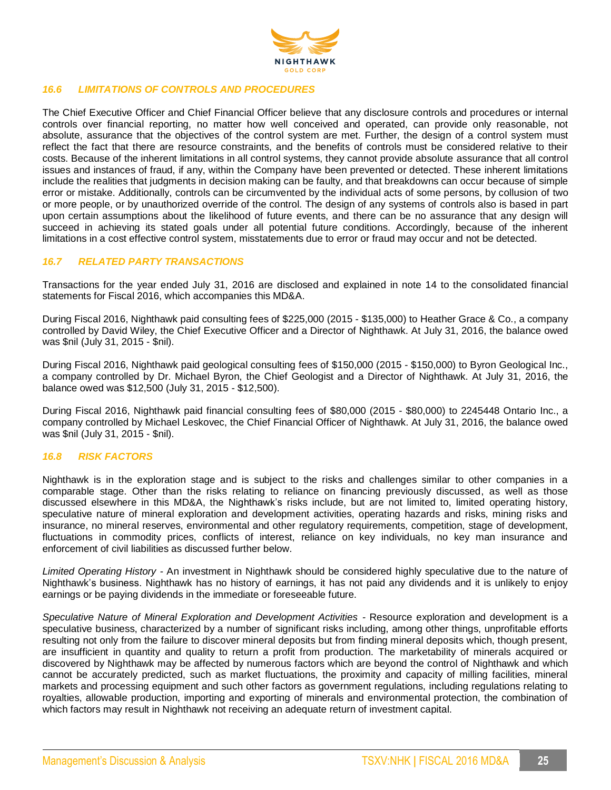

### *16.6 LIMITATIONS OF CONTROLS AND PROCEDURES*

The Chief Executive Officer and Chief Financial Officer believe that any disclosure controls and procedures or internal controls over financial reporting, no matter how well conceived and operated, can provide only reasonable, not absolute, assurance that the objectives of the control system are met. Further, the design of a control system must reflect the fact that there are resource constraints, and the benefits of controls must be considered relative to their costs. Because of the inherent limitations in all control systems, they cannot provide absolute assurance that all control issues and instances of fraud, if any, within the Company have been prevented or detected. These inherent limitations include the realities that judgments in decision making can be faulty, and that breakdowns can occur because of simple error or mistake. Additionally, controls can be circumvented by the individual acts of some persons, by collusion of two or more people, or by unauthorized override of the control. The design of any systems of controls also is based in part upon certain assumptions about the likelihood of future events, and there can be no assurance that any design will succeed in achieving its stated goals under all potential future conditions. Accordingly, because of the inherent limitations in a cost effective control system, misstatements due to error or fraud may occur and not be detected.

### *16.7 RELATED PARTY TRANSACTIONS*

Transactions for the year ended July 31, 2016 are disclosed and explained in note 14 to the consolidated financial statements for Fiscal 2016, which accompanies this MD&A.

During Fiscal 2016, Nighthawk paid consulting fees of \$225,000 (2015 - \$135,000) to Heather Grace & Co., a company controlled by David Wiley, the Chief Executive Officer and a Director of Nighthawk. At July 31, 2016, the balance owed was \$nil (July 31, 2015 - \$nil).

During Fiscal 2016, Nighthawk paid geological consulting fees of \$150,000 (2015 - \$150,000) to Byron Geological Inc., a company controlled by Dr. Michael Byron, the Chief Geologist and a Director of Nighthawk. At July 31, 2016, the balance owed was \$12,500 (July 31, 2015 - \$12,500).

During Fiscal 2016, Nighthawk paid financial consulting fees of \$80,000 (2015 - \$80,000) to 2245448 Ontario Inc., a company controlled by Michael Leskovec, the Chief Financial Officer of Nighthawk. At July 31, 2016, the balance owed was \$nil (July 31, 2015 - \$nil).

### *16.8 RISK FACTORS*

Nighthawk is in the exploration stage and is subject to the risks and challenges similar to other companies in a comparable stage. Other than the risks relating to reliance on financing previously discussed, as well as those discussed elsewhere in this MD&A, the Nighthawk's risks include, but are not limited to, limited operating history, speculative nature of mineral exploration and development activities, operating hazards and risks, mining risks and insurance, no mineral reserves, environmental and other regulatory requirements, competition, stage of development, fluctuations in commodity prices, conflicts of interest, reliance on key individuals, no key man insurance and enforcement of civil liabilities as discussed further below.

*Limited Operating History -* An investment in Nighthawk should be considered highly speculative due to the nature of Nighthawk's business. Nighthawk has no history of earnings, it has not paid any dividends and it is unlikely to enjoy earnings or be paying dividends in the immediate or foreseeable future.

*Speculative Nature of Mineral Exploration and Development Activities -* Resource exploration and development is a speculative business, characterized by a number of significant risks including, among other things, unprofitable efforts resulting not only from the failure to discover mineral deposits but from finding mineral deposits which, though present, are insufficient in quantity and quality to return a profit from production. The marketability of minerals acquired or discovered by Nighthawk may be affected by numerous factors which are beyond the control of Nighthawk and which cannot be accurately predicted, such as market fluctuations, the proximity and capacity of milling facilities, mineral markets and processing equipment and such other factors as government regulations, including regulations relating to royalties, allowable production, importing and exporting of minerals and environmental protection, the combination of which factors may result in Nighthawk not receiving an adequate return of investment capital.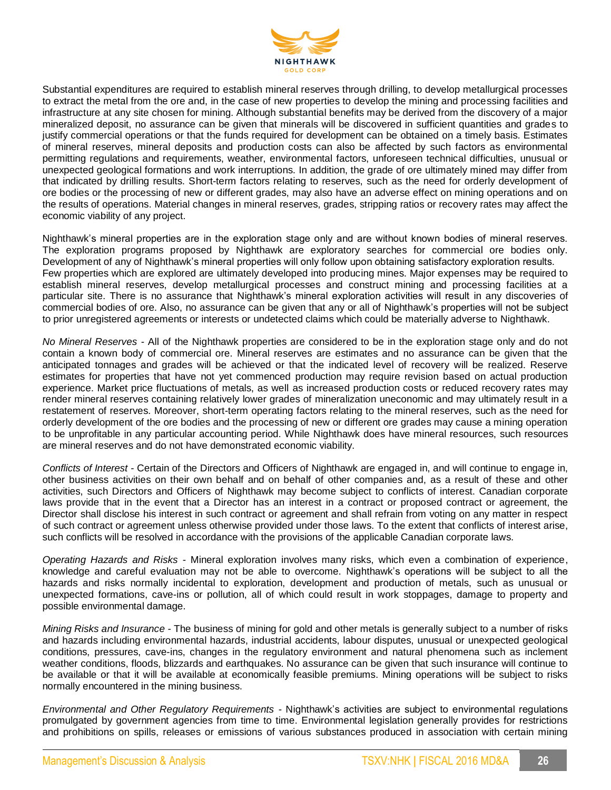

Substantial expenditures are required to establish mineral reserves through drilling, to develop metallurgical processes to extract the metal from the ore and, in the case of new properties to develop the mining and processing facilities and infrastructure at any site chosen for mining. Although substantial benefits may be derived from the discovery of a major mineralized deposit, no assurance can be given that minerals will be discovered in sufficient quantities and grades to justify commercial operations or that the funds required for development can be obtained on a timely basis. Estimates of mineral reserves, mineral deposits and production costs can also be affected by such factors as environmental permitting regulations and requirements, weather, environmental factors, unforeseen technical difficulties, unusual or unexpected geological formations and work interruptions. In addition, the grade of ore ultimately mined may differ from that indicated by drilling results. Short-term factors relating to reserves, such as the need for orderly development of ore bodies or the processing of new or different grades, may also have an adverse effect on mining operations and on the results of operations. Material changes in mineral reserves, grades, stripping ratios or recovery rates may affect the economic viability of any project.

Nighthawk's mineral properties are in the exploration stage only and are without known bodies of mineral reserves. The exploration programs proposed by Nighthawk are exploratory searches for commercial ore bodies only. Development of any of Nighthawk's mineral properties will only follow upon obtaining satisfactory exploration results. Few properties which are explored are ultimately developed into producing mines. Major expenses may be required to establish mineral reserves, develop metallurgical processes and construct mining and processing facilities at a particular site. There is no assurance that Nighthawk's mineral exploration activities will result in any discoveries of commercial bodies of ore. Also, no assurance can be given that any or all of Nighthawk's properties will not be subject to prior unregistered agreements or interests or undetected claims which could be materially adverse to Nighthawk.

*No Mineral Reserves -* All of the Nighthawk properties are considered to be in the exploration stage only and do not contain a known body of commercial ore. Mineral reserves are estimates and no assurance can be given that the anticipated tonnages and grades will be achieved or that the indicated level of recovery will be realized. Reserve estimates for properties that have not yet commenced production may require revision based on actual production experience. Market price fluctuations of metals, as well as increased production costs or reduced recovery rates may render mineral reserves containing relatively lower grades of mineralization uneconomic and may ultimately result in a restatement of reserves. Moreover, short-term operating factors relating to the mineral reserves, such as the need for orderly development of the ore bodies and the processing of new or different ore grades may cause a mining operation to be unprofitable in any particular accounting period. While Nighthawk does have mineral resources, such resources are mineral reserves and do not have demonstrated economic viability.

*Conflicts of Interest -* Certain of the Directors and Officers of Nighthawk are engaged in, and will continue to engage in, other business activities on their own behalf and on behalf of other companies and, as a result of these and other activities, such Directors and Officers of Nighthawk may become subject to conflicts of interest. Canadian corporate laws provide that in the event that a Director has an interest in a contract or proposed contract or agreement, the Director shall disclose his interest in such contract or agreement and shall refrain from voting on any matter in respect of such contract or agreement unless otherwise provided under those laws. To the extent that conflicts of interest arise, such conflicts will be resolved in accordance with the provisions of the applicable Canadian corporate laws.

*Operating Hazards and Risks -* Mineral exploration involves many risks, which even a combination of experience, knowledge and careful evaluation may not be able to overcome. Nighthawk's operations will be subject to all the hazards and risks normally incidental to exploration, development and production of metals, such as unusual or unexpected formations, cave-ins or pollution, all of which could result in work stoppages, damage to property and possible environmental damage.

*Mining Risks and Insurance -* The business of mining for gold and other metals is generally subject to a number of risks and hazards including environmental hazards, industrial accidents, labour disputes, unusual or unexpected geological conditions, pressures, cave-ins, changes in the regulatory environment and natural phenomena such as inclement weather conditions, floods, blizzards and earthquakes. No assurance can be given that such insurance will continue to be available or that it will be available at economically feasible premiums. Mining operations will be subject to risks normally encountered in the mining business.

*Environmental and Other Regulatory Requirements -* Nighthawk's activities are subject to environmental regulations promulgated by government agencies from time to time. Environmental legislation generally provides for restrictions and prohibitions on spills, releases or emissions of various substances produced in association with certain mining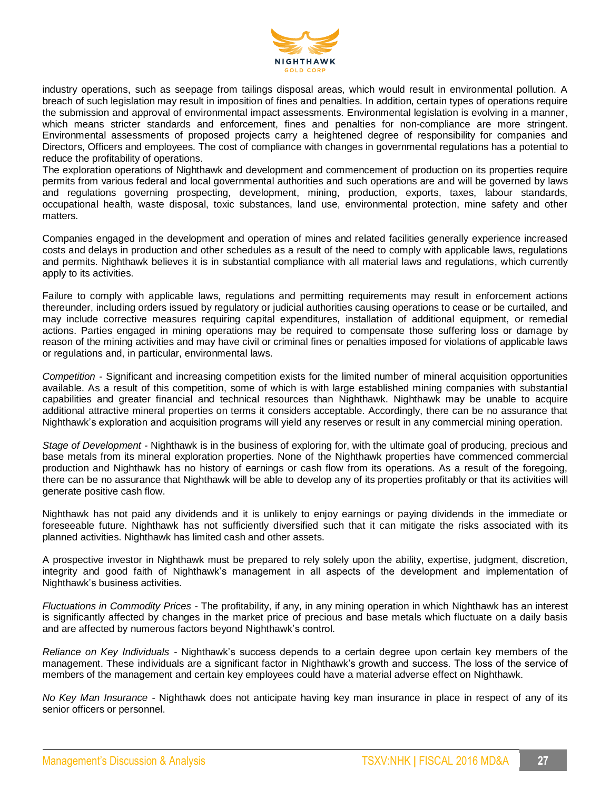

industry operations, such as seepage from tailings disposal areas, which would result in environmental pollution. A breach of such legislation may result in imposition of fines and penalties. In addition, certain types of operations require the submission and approval of environmental impact assessments. Environmental legislation is evolving in a manner, which means stricter standards and enforcement, fines and penalties for non-compliance are more stringent. Environmental assessments of proposed projects carry a heightened degree of responsibility for companies and Directors, Officers and employees. The cost of compliance with changes in governmental regulations has a potential to reduce the profitability of operations.

The exploration operations of Nighthawk and development and commencement of production on its properties require permits from various federal and local governmental authorities and such operations are and will be governed by laws and regulations governing prospecting, development, mining, production, exports, taxes, labour standards, occupational health, waste disposal, toxic substances, land use, environmental protection, mine safety and other matters.

Companies engaged in the development and operation of mines and related facilities generally experience increased costs and delays in production and other schedules as a result of the need to comply with applicable laws, regulations and permits. Nighthawk believes it is in substantial compliance with all material laws and regulations, which currently apply to its activities.

Failure to comply with applicable laws, regulations and permitting requirements may result in enforcement actions thereunder, including orders issued by regulatory or judicial authorities causing operations to cease or be curtailed, and may include corrective measures requiring capital expenditures, installation of additional equipment, or remedial actions. Parties engaged in mining operations may be required to compensate those suffering loss or damage by reason of the mining activities and may have civil or criminal fines or penalties imposed for violations of applicable laws or regulations and, in particular, environmental laws.

*Competition -* Significant and increasing competition exists for the limited number of mineral acquisition opportunities available. As a result of this competition, some of which is with large established mining companies with substantial capabilities and greater financial and technical resources than Nighthawk. Nighthawk may be unable to acquire additional attractive mineral properties on terms it considers acceptable. Accordingly, there can be no assurance that Nighthawk's exploration and acquisition programs will yield any reserves or result in any commercial mining operation.

*Stage of Development -* Nighthawk is in the business of exploring for, with the ultimate goal of producing, precious and base metals from its mineral exploration properties. None of the Nighthawk properties have commenced commercial production and Nighthawk has no history of earnings or cash flow from its operations. As a result of the foregoing, there can be no assurance that Nighthawk will be able to develop any of its properties profitably or that its activities will generate positive cash flow.

Nighthawk has not paid any dividends and it is unlikely to enjoy earnings or paying dividends in the immediate or foreseeable future. Nighthawk has not sufficiently diversified such that it can mitigate the risks associated with its planned activities. Nighthawk has limited cash and other assets.

A prospective investor in Nighthawk must be prepared to rely solely upon the ability, expertise, judgment, discretion, integrity and good faith of Nighthawk's management in all aspects of the development and implementation of Nighthawk's business activities.

*Fluctuations in Commodity Prices -* The profitability, if any, in any mining operation in which Nighthawk has an interest is significantly affected by changes in the market price of precious and base metals which fluctuate on a daily basis and are affected by numerous factors beyond Nighthawk's control.

*Reliance on Key Individuals -* Nighthawk's success depends to a certain degree upon certain key members of the management. These individuals are a significant factor in Nighthawk's growth and success. The loss of the service of members of the management and certain key employees could have a material adverse effect on Nighthawk.

*No Key Man Insurance -* Nighthawk does not anticipate having key man insurance in place in respect of any of its senior officers or personnel.